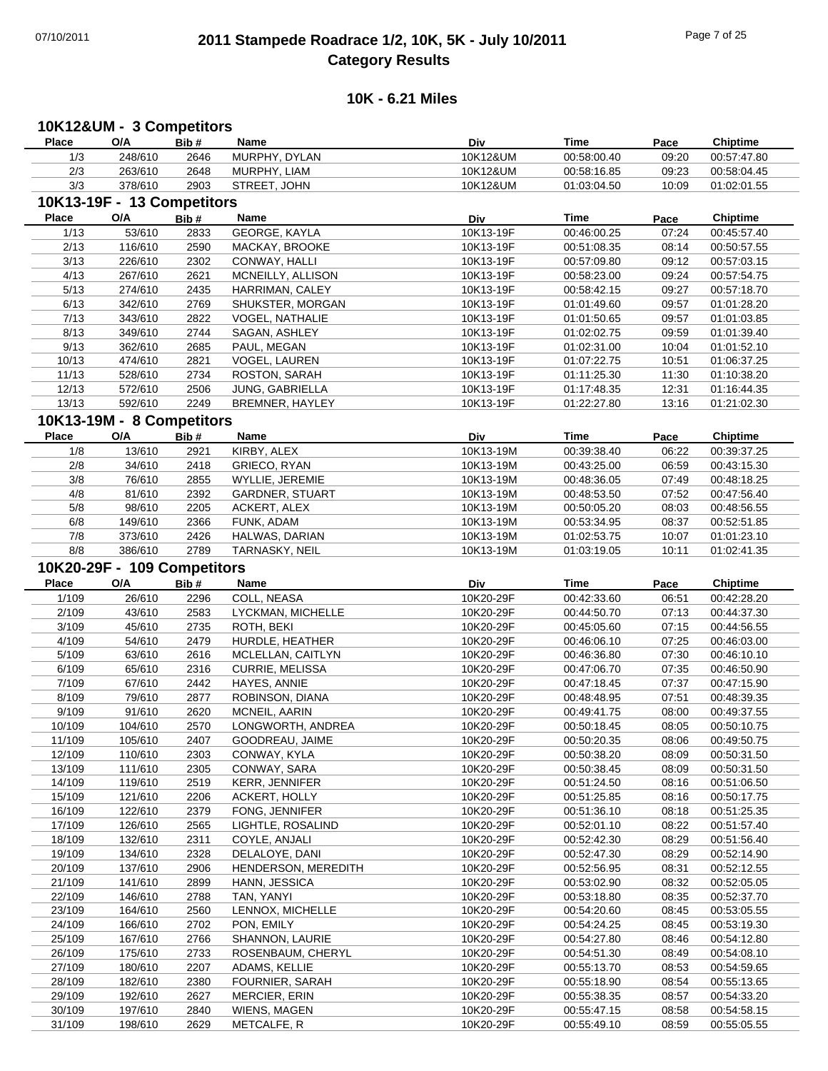### 07/10/2011 **2011 Stampede Roadrace 1/2, 10K, 5K - July 10/2011** Page 7 of 25 **Category Results**

#### **10K - 6.21 Miles**

#### **Place Name O/A Bib # Time Pace Chiptime 10K12&UM - 3 Competitors Div** 1/3 MURPHY, DYLAN 248/610 2646 10K12&UM 00:57:47.80 00:58:00.40 09:20 2/3 MURPHY, LIAM 263/610 2648 10K12&UM 00:58:04.45 00:58:16.85 09:23 3/3 378/610 2903 STREET, JOHN 301:02:01.55 10K12&UM 01:03:04.50 10:09 01:02:01.55 **Place Name O/A Bib # Time Pace Chiptime 10K13-19F - 13 Competitors Div** 1/13 53/610 2833 GEORGE, KAYLA 53/610 53/610 2833 540K14 10K13-19F 00:46:00.25 07:24 00:45:57.40 2/13 116/610 2590 MACKAY, BROOKE 10K13-19F 00:51:08.35 08:14 00:50:57.55 3/13 226/610 2302 CONWAY, HALLI 10K13-19F 00:57:09.80 09:12 00:57:03.15 4/13 267/610 2621 MCNEILLY, ALLISON 20010613-19F 00:58:23.00 09:24 00:57:54.75 5/13 274/610 2435 HARRIMAN, CALEY 10K13-19F 00:58:42.15 09:27 00:57:18.70 6/13 342/610 2769 SHUKSTER, MORGAN 310K13-19F 01:01:49.60 09:57 01:01:28.20 7/13 343/610 2822 VOGEL, NATHALIE 3440 10K13-19F 01:01:50.65 09:57 01:01:03.85 8/13 349/610 2744 SAGAN, ASHLEY 310K13-19F 01:02:02.75 09:59 01:01:39.40 9/13 362/610 2685 PAUL, MEGAN 10K13-19F 01:02:31.00 10:04 01:01:52.10 10/13 VOGEL, LAUREN 474/610 2821 10K13-19F 01:06:37.25 01:07:22.75 10:51 11/13 ROSTON, SARAH 528/610 2734 10K13-19F 01:10:38.20 01:11:25.30 11:30 12/13 572/610 2506 JUNG, GABRIELLA 10K13-19F 01:17:48.35 12:31 01:16:44.35 13/13 592/610 2249 BREMNER, HAYLEY 10K13-19F 01:22:27.80 13:16 01:21:02.30 **Place Name O/A Bib # Time Pace Chiptime 10K13-19M - 8 Competitors Div** 1/8 13/610 2921 KIRBY, ALEX 10K13-19M 00:39:38.40 06:22 00:39:37.25 2/8 34/610 2418 GRIECO, RYAN 310H 10K13-19M 00:43:25.00 06:59 00:43:15.30 3/8 76/610 2855 WYLLIE, JEREMIE 10K13-19M 00:48:36.05 07:49 00:48:18.25 4/8 81/610 2392 GARDNER, STUART 10K13-19M 00:48:53.50 07:52 00:47:56.40 5/8 98/610 2205 ACKERT, ALEX 10K13-19M 00:50:05.20 08:03 00:48:56.55 6/8 149/610 2366 FUNK, ADAM 10K13-19M 00:53:34.95 08:37 00:52:51.85 7/8 373/610 2426 HALWAS, DARIAN 10K13-19M 01:02:53.75 10:07 01:01:23.10 8/8 386/610 2789 TARNASKY, NEIL 30 10K13-19M 01:03:19.05 10:11 01:02:41.35 **Place Name O/A Bib # Time Pace Chiptime 10K20-29F - 109 Competitors Div** 1/109 COLL, NEASA 26/610 2296 10K20-29F 00:42:28.20 00:42:33.60 06:51 2/109 43/610 2583 LYCKMAN, MICHELLE 10K20-29F 00:44:50.70 07:13 00:44:37.30 3/109 45/610 2735 ROTH, BEKI 10K20-29F 00:45:05.60 07:15 00:44:56.55 4/109 54/610 2479 HURDLE, HEATHER 10K20-29F 00:46:06.10 07:25 00:46:03.00 5/109 63/610 2616 MCLELLAN, CAITLYN 10K20-29F 00:46:36.80 07:30 00:46:10.10 6/109 65/610 2316 CURRIE, MELISSA 610K20-29F 60:47:06.70 07:35 00:46:50.90 7/109 67/610 2442 HAYES, ANNIE 10K20-29F 00:47:18.45 07:37 00:47:15.90 8/109 79/610 2877 ROBINSON, DIANA 10K20-29F 00:48:48.95 07:51 00:48:39.35 9/109 91/610 2620 MCNEIL, AARIN 10K20-29F 00:49:41.75 08:00 00:49:37.55 10/109 LONGWORTH, ANDREA 104/610 2570 10K20-29F 00:50:10.75 00:50:18.45 08:05 11/109 105/610 2407 GOODREAU, JAIME 10K20-29F 00:50:20.35 08:06 00:49:50.75 12/109 110/610 2303 CONWAY, KYLA 10K20-29F 00:50:38.20 08:09 00:50:31.50 13/109 111/610 2305 CONWAY, SARA 10K20-29F 00:50:38.45 08:09 00:50:31.50 14/109 119/610 2519 KERR, JENNIFER 10K20-29F 00:51:24.50 08:16 00:51:06.50 15/109 121/610 2206 ACKERT, HOLLY 10K20-29F 00:51:25.85 08:16 00:50:17.75 16/109 122/610 2379 FONG, JENNIFER 10K20-29F 00:51:36.10 08:18 00:51:25.35 17/109 126/610 2565 LIGHTLE, ROSALIND 10K20-29F 00:52:01.10 08:22 00:51:57.40 18/109 132/610 2311 COYLE, ANJALI 10K20-29F 00:52:42.30 08:29 00:51:56.40 19/109 134/610 2328 DELALOYE, DANI 10K20-29F 00:52:47.30 08:29 00:52:14.90 20/109 HENDERSON, MEREDITH 137/610 2906 10K20-29F 00:52:12.55 00:52:56.95 08:31 21/109 141/610 2899 HANN, JESSICA 10K20-29F 00:53:02.90 08:32 00:52:05.05 22/109 146/610 2788 TAN, YANYI 10K20-29F 00:53:18.80 08:35 00:52:37.70 23/109 164/610 2560 LENNOX, MICHELLE 10K20-29F 00:54:20.60 08:45 00:53:05.55 24/109 166/610 2702 PON, EMILY 10K20-29F 00:54:24.25 08:45 00:53:19.30 25/109 167/610 2766 SHANNON, LAURIE 16X20-29F 00:54:27.80 08:46 00:54:12.80 26/109 175/610 2733 ROSENBAUM, CHERYL 10K20-29F 00:54:51.30 08:49 00:54:08.10 27/109 180/610 2207 ADAMS, KELLIE 10K20-29F 00:55:13.70 08:53 00:54:59.65 28/109 182/610 2380 FOURNIER, SARAH 10K20-29F 00:55:18.90 08:54 00:55:13.65 29/109 192/610 2627 MERCIER, ERIN 10K20-29F 00:55:38.35 08:57 00:54:33.20 30/109 WIENS, MAGEN 197/610 2840 10K20-29F 00:54:58.15 00:55:47.15 08:58 31/109 198/610 2629 METCALFE, R 10K20-29F 00:55:49.10 08:59 00:55:05.55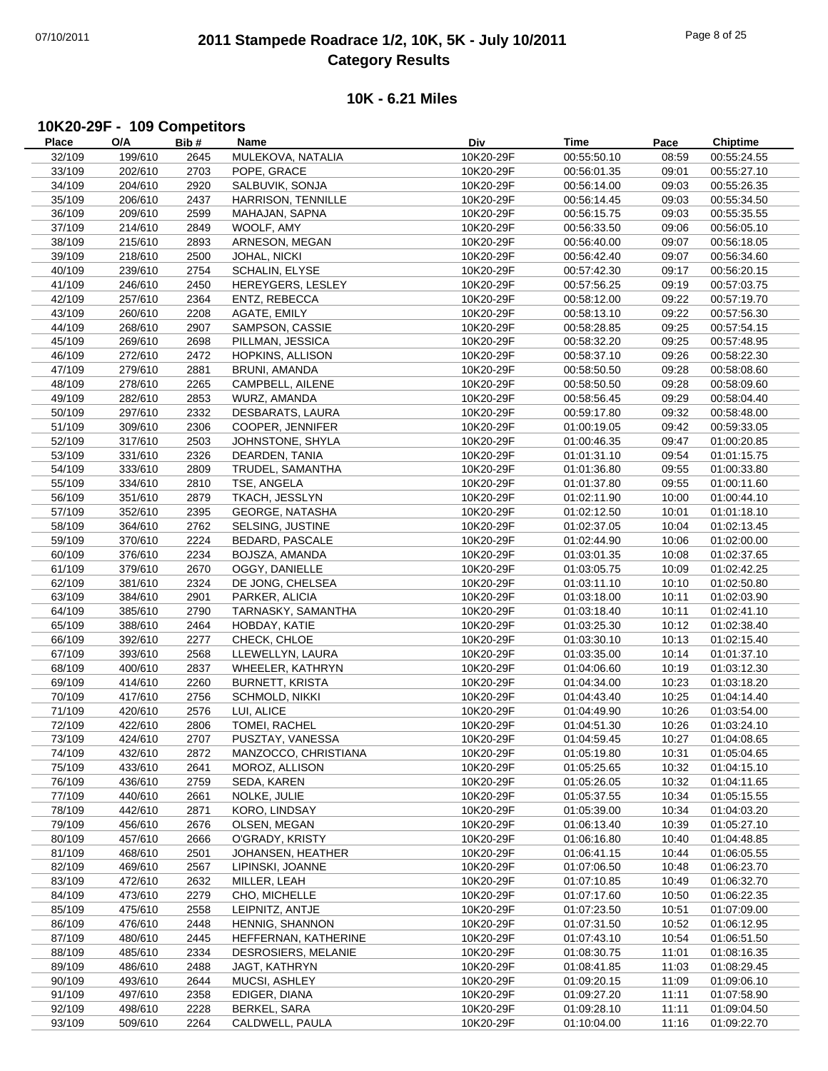## 07/10/2011 **2011 Stampede Roadrace 1/2, 10K, 5K - July 10/2011** Page 8 of 25 **Category Results**

#### **10K - 6.21 Miles**

## **10K20-29F - 109 Competitors**

| <b>Place</b> | O/A     | Bib# | Name                   | Div       | Time        | Pace  | <b>Chiptime</b> |
|--------------|---------|------|------------------------|-----------|-------------|-------|-----------------|
| 32/109       | 199/610 | 2645 | MULEKOVA, NATALIA      | 10K20-29F | 00:55:50.10 | 08:59 | 00:55:24.55     |
| 33/109       | 202/610 | 2703 | POPE, GRACE            | 10K20-29F | 00:56:01.35 | 09:01 | 00:55:27.10     |
| 34/109       | 204/610 | 2920 | SALBUVIK, SONJA        | 10K20-29F | 00:56:14.00 | 09:03 | 00:55:26.35     |
| 35/109       | 206/610 | 2437 | HARRISON, TENNILLE     | 10K20-29F | 00:56:14.45 | 09:03 | 00:55:34.50     |
|              |         |      |                        |           |             |       |                 |
| 36/109       | 209/610 | 2599 | MAHAJAN, SAPNA         | 10K20-29F | 00:56:15.75 | 09:03 | 00:55:35.55     |
| 37/109       | 214/610 | 2849 | WOOLF, AMY             | 10K20-29F | 00:56:33.50 | 09:06 | 00:56:05.10     |
| 38/109       | 215/610 | 2893 | ARNESON, MEGAN         | 10K20-29F | 00:56:40.00 | 09:07 | 00:56:18.05     |
| 39/109       | 218/610 | 2500 | JOHAL, NICKI           | 10K20-29F | 00:56:42.40 | 09:07 | 00:56:34.60     |
| 40/109       | 239/610 | 2754 | <b>SCHALIN, ELYSE</b>  | 10K20-29F | 00:57:42.30 | 09:17 | 00:56:20.15     |
| 41/109       | 246/610 | 2450 | HEREYGERS, LESLEY      | 10K20-29F | 00:57:56.25 | 09:19 | 00:57:03.75     |
| 42/109       | 257/610 | 2364 | ENTZ, REBECCA          | 10K20-29F | 00:58:12.00 | 09:22 | 00:57:19.70     |
| 43/109       | 260/610 | 2208 | AGATE, EMILY           | 10K20-29F | 00:58:13.10 | 09:22 | 00:57:56.30     |
| 44/109       | 268/610 | 2907 | SAMPSON, CASSIE        | 10K20-29F | 00:58:28.85 | 09:25 | 00:57:54.15     |
|              |         |      |                        |           |             |       |                 |
| 45/109       | 269/610 | 2698 | PILLMAN, JESSICA       | 10K20-29F | 00:58:32.20 | 09:25 | 00:57:48.95     |
| 46/109       | 272/610 | 2472 | HOPKINS, ALLISON       | 10K20-29F | 00:58:37.10 | 09:26 | 00:58:22.30     |
| 47/109       | 279/610 | 2881 | BRUNI, AMANDA          | 10K20-29F | 00:58:50.50 | 09:28 | 00:58:08.60     |
| 48/109       | 278/610 | 2265 | CAMPBELL, AILENE       | 10K20-29F | 00:58:50.50 | 09:28 | 00:58:09.60     |
| 49/109       | 282/610 | 2853 | WURZ, AMANDA           | 10K20-29F | 00:58:56.45 | 09:29 | 00:58:04.40     |
| 50/109       | 297/610 | 2332 | DESBARATS, LAURA       | 10K20-29F | 00:59:17.80 | 09:32 | 00:58:48.00     |
| 51/109       | 309/610 | 2306 | COOPER, JENNIFER       | 10K20-29F | 01:00:19.05 | 09:42 | 00:59:33.05     |
| 52/109       | 317/610 | 2503 | JOHNSTONE, SHYLA       | 10K20-29F | 01:00:46.35 | 09:47 | 01:00:20.85     |
| 53/109       | 331/610 | 2326 | DEARDEN, TANIA         | 10K20-29F | 01:01:31.10 | 09:54 | 01:01:15.75     |
|              |         |      |                        | 10K20-29F |             |       |                 |
| 54/109       | 333/610 | 2809 | TRUDEL, SAMANTHA       |           | 01:01:36.80 | 09:55 | 01:00:33.80     |
| 55/109       | 334/610 | 2810 | TSE, ANGELA            | 10K20-29F | 01:01:37.80 | 09:55 | 01:00:11.60     |
| 56/109       | 351/610 | 2879 | TKACH, JESSLYN         | 10K20-29F | 01:02:11.90 | 10:00 | 01:00:44.10     |
| 57/109       | 352/610 | 2395 | <b>GEORGE, NATASHA</b> | 10K20-29F | 01:02:12.50 | 10:01 | 01:01:18.10     |
| 58/109       | 364/610 | 2762 | SELSING, JUSTINE       | 10K20-29F | 01:02:37.05 | 10:04 | 01:02:13.45     |
| 59/109       | 370/610 | 2224 | BEDARD, PASCALE        | 10K20-29F | 01:02:44.90 | 10:06 | 01:02:00.00     |
| 60/109       | 376/610 | 2234 | BOJSZA, AMANDA         | 10K20-29F | 01:03:01.35 | 10:08 | 01:02:37.65     |
| 61/109       | 379/610 | 2670 | OGGY, DANIELLE         | 10K20-29F | 01:03:05.75 | 10:09 | 01:02:42.25     |
| 62/109       | 381/610 | 2324 | DE JONG, CHELSEA       | 10K20-29F | 01:03:11.10 | 10:10 | 01:02:50.80     |
|              |         |      |                        | 10K20-29F |             |       |                 |
| 63/109       | 384/610 | 2901 | PARKER, ALICIA         |           | 01:03:18.00 | 10:11 | 01:02:03.90     |
| 64/109       | 385/610 | 2790 | TARNASKY, SAMANTHA     | 10K20-29F | 01:03:18.40 | 10:11 | 01:02:41.10     |
| 65/109       | 388/610 | 2464 | HOBDAY, KATIE          | 10K20-29F | 01:03:25.30 | 10:12 | 01:02:38.40     |
| 66/109       | 392/610 | 2277 | CHECK, CHLOE           | 10K20-29F | 01:03:30.10 | 10:13 | 01:02:15.40     |
| 67/109       | 393/610 | 2568 | LLEWELLYN, LAURA       | 10K20-29F | 01:03:35.00 | 10:14 | 01:01:37.10     |
| 68/109       | 400/610 | 2837 | WHEELER, KATHRYN       | 10K20-29F | 01:04:06.60 | 10:19 | 01:03:12.30     |
| 69/109       | 414/610 | 2260 | <b>BURNETT, KRISTA</b> | 10K20-29F | 01:04:34.00 | 10:23 | 01:03:18.20     |
| 70/109       | 417/610 | 2756 | SCHMOLD, NIKKI         | 10K20-29F | 01:04:43.40 | 10:25 | 01:04:14.40     |
| 71/109       | 420/610 | 2576 | LUI, ALICE             | 10K20-29F | 01:04:49.90 | 10:26 | 01:03:54.00     |
| 72/109       | 422/610 | 2806 | TOMEI, RACHEL          | 10K20-29F | 01:04:51.30 | 10:26 | 01:03:24.10     |
|              | 424/610 | 2707 | PUSZTAY, VANESSA       |           |             | 10:27 |                 |
| 73/109       |         |      |                        | 10K20-29F | 01:04:59.45 |       | 01:04:08.65     |
| 74/109       | 432/610 | 2872 | MANZOCCO, CHRISTIANA   | 10K20-29F | 01:05:19.80 | 10:31 | 01:05:04.65     |
| 75/109       | 433/610 | 2641 | MOROZ, ALLISON         | 10K20-29F | 01:05:25.65 | 10:32 | 01:04:15.10     |
| 76/109       | 436/610 | 2759 | SEDA, KAREN            | 10K20-29F | 01:05:26.05 | 10:32 | 01:04:11.65     |
| 77/109       | 440/610 | 2661 | NOLKE, JULIE           | 10K20-29F | 01:05:37.55 | 10:34 | 01:05:15.55     |
| 78/109       | 442/610 | 2871 | KORO, LINDSAY          | 10K20-29F | 01:05:39.00 | 10:34 | 01:04:03.20     |
| 79/109       | 456/610 | 2676 | OLSEN, MEGAN           | 10K20-29F | 01:06:13.40 | 10:39 | 01:05:27.10     |
| 80/109       | 457/610 | 2666 | O'GRADY, KRISTY        | 10K20-29F | 01:06:16.80 | 10:40 | 01:04:48.85     |
| 81/109       | 468/610 | 2501 | JOHANSEN, HEATHER      | 10K20-29F | 01:06:41.15 | 10:44 | 01:06:05.55     |
| 82/109       | 469/610 | 2567 | LIPINSKI, JOANNE       | 10K20-29F | 01:07:06.50 | 10:48 | 01:06:23.70     |
| 83/109       | 472/610 | 2632 | MILLER, LEAH           | 10K20-29F | 01:07:10.85 | 10:49 | 01:06:32.70     |
|              |         |      |                        |           |             |       |                 |
| 84/109       | 473/610 | 2279 | CHO, MICHELLE          | 10K20-29F | 01:07:17.60 | 10:50 | 01:06:22.35     |
| 85/109       | 475/610 | 2558 | LEIPNITZ, ANTJE        | 10K20-29F | 01:07:23.50 | 10:51 | 01:07:09.00     |
| 86/109       | 476/610 | 2448 | HENNIG, SHANNON        | 10K20-29F | 01:07:31.50 | 10:52 | 01:06:12.95     |
| 87/109       | 480/610 | 2445 | HEFFERNAN, KATHERINE   | 10K20-29F | 01:07:43.10 | 10:54 | 01:06:51.50     |
| 88/109       | 485/610 | 2334 | DESROSIERS, MELANIE    | 10K20-29F | 01:08:30.75 | 11:01 | 01:08:16.35     |
| 89/109       | 486/610 | 2488 | JAGT, KATHRYN          | 10K20-29F | 01:08:41.85 | 11:03 | 01:08:29.45     |
| 90/109       | 493/610 | 2644 | MUCSI, ASHLEY          | 10K20-29F | 01:09:20.15 | 11:09 | 01:09:06.10     |
| 91/109       | 497/610 | 2358 | EDIGER, DIANA          | 10K20-29F | 01:09:27.20 | 11:11 | 01:07:58.90     |
| 92/109       | 498/610 | 2228 | BERKEL, SARA           | 10K20-29F | 01:09:28.10 | 11:11 | 01:09:04.50     |
| 93/109       | 509/610 | 2264 | CALDWELL, PAULA        | 10K20-29F | 01:10:04.00 | 11:16 | 01:09:22.70     |
|              |         |      |                        |           |             |       |                 |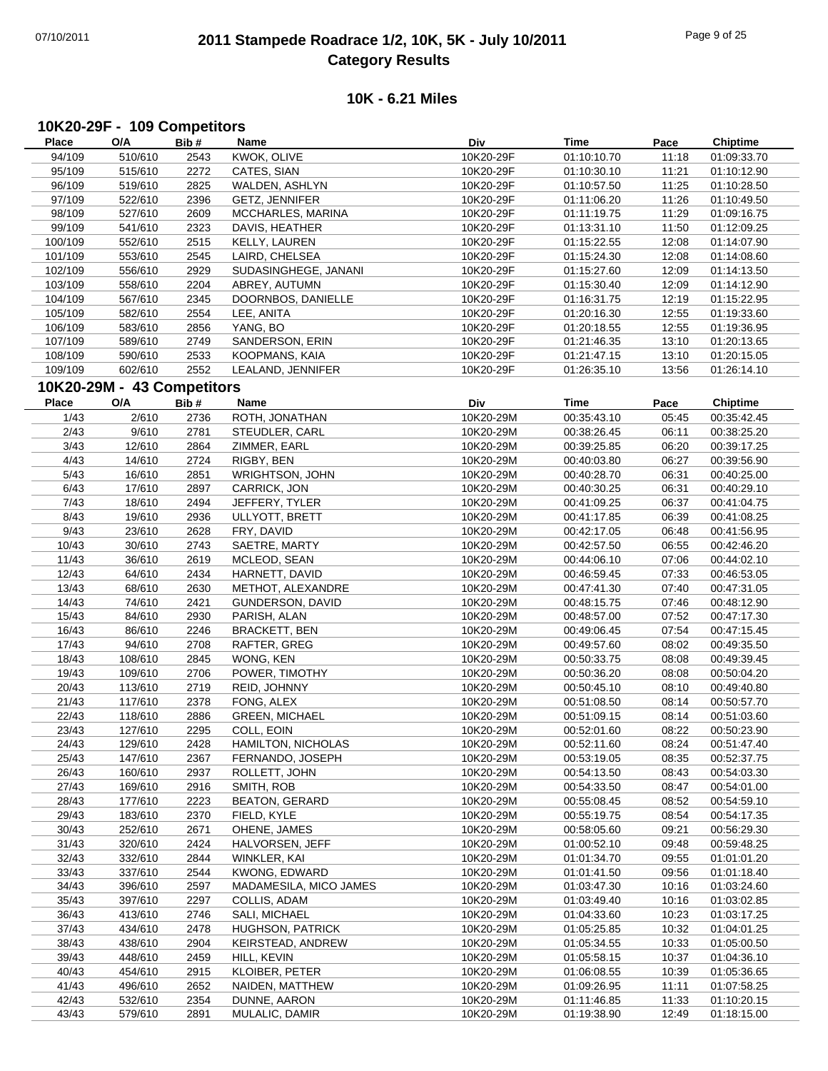## 07/10/2011 **2011 Stampede Roadrace 1/2, 10K, 5K - July 10/2011** Page 9 of 25 **Category Results**

#### **10K - 6.21 Miles**

## **10K20-29F - 109 Competitors**

| Place        | O/A                        | Bib# | Name                    | Div       | Time        | Pace  | <b>Chiptime</b> |
|--------------|----------------------------|------|-------------------------|-----------|-------------|-------|-----------------|
| 94/109       | 510/610                    | 2543 | KWOK, OLIVE             | 10K20-29F | 01:10:10.70 | 11:18 | 01:09:33.70     |
| 95/109       | 515/610                    | 2272 | CATES, SIAN             | 10K20-29F | 01:10:30.10 | 11:21 | 01:10:12.90     |
| 96/109       | 519/610                    | 2825 | WALDEN, ASHLYN          | 10K20-29F | 01:10:57.50 | 11:25 | 01:10:28.50     |
| 97/109       | 522/610                    | 2396 | GETZ, JENNIFER          | 10K20-29F | 01:11:06.20 | 11:26 | 01:10:49.50     |
| 98/109       | 527/610                    | 2609 | MCCHARLES, MARINA       | 10K20-29F | 01:11:19.75 | 11:29 | 01:09:16.75     |
| 99/109       | 541/610                    | 2323 | DAVIS, HEATHER          | 10K20-29F | 01:13:31.10 | 11:50 | 01:12:09.25     |
| 100/109      | 552/610                    | 2515 | KELLY, LAUREN           | 10K20-29F | 01:15:22.55 | 12:08 | 01:14:07.90     |
| 101/109      | 553/610                    | 2545 | LAIRD, CHELSEA          | 10K20-29F | 01:15:24.30 | 12:08 | 01:14:08.60     |
| 102/109      | 556/610                    | 2929 | SUDASINGHEGE, JANANI    | 10K20-29F | 01:15:27.60 | 12:09 | 01:14:13.50     |
| 103/109      | 558/610                    | 2204 | ABREY, AUTUMN           | 10K20-29F | 01:15:30.40 | 12:09 | 01:14:12.90     |
| 104/109      | 567/610                    | 2345 | DOORNBOS, DANIELLE      | 10K20-29F | 01:16:31.75 | 12:19 | 01:15:22.95     |
| 105/109      | 582/610                    | 2554 | LEE, ANITA              | 10K20-29F | 01:20:16.30 | 12:55 | 01:19:33.60     |
| 106/109      | 583/610                    | 2856 | YANG, BO                | 10K20-29F | 01:20:18.55 | 12:55 | 01:19:36.95     |
| 107/109      | 589/610                    | 2749 | SANDERSON, ERIN         | 10K20-29F | 01:21:46.35 | 13:10 | 01:20:13.65     |
| 108/109      | 590/610                    | 2533 | KOOPMANS, KAIA          | 10K20-29F | 01:21:47.15 | 13:10 | 01:20:15.05     |
| 109/109      | 602/610                    | 2552 | LEALAND, JENNIFER       | 10K20-29F | 01:26:35.10 | 13:56 | 01:26:14.10     |
|              |                            |      |                         |           |             |       |                 |
|              | 10K20-29M - 43 Competitors |      |                         |           |             |       |                 |
| <b>Place</b> | O/A                        | Bib# | Name                    | Div       | <b>Time</b> | Pace  | <b>Chiptime</b> |
| 1/43         | 2/610                      | 2736 | ROTH, JONATHAN          | 10K20-29M | 00:35:43.10 | 05:45 | 00:35:42.45     |
| 2/43         | 9/610                      | 2781 | STEUDLER, CARL          | 10K20-29M | 00:38:26.45 | 06:11 | 00:38:25.20     |
| 3/43         | 12/610                     | 2864 | ZIMMER, EARL            | 10K20-29M | 00:39:25.85 | 06:20 | 00:39:17.25     |
| 4/43         | 14/610                     | 2724 | RIGBY, BEN              | 10K20-29M | 00:40:03.80 | 06:27 | 00:39:56.90     |
| 5/43         | 16/610                     | 2851 | WRIGHTSON, JOHN         | 10K20-29M | 00:40:28.70 | 06:31 | 00:40:25.00     |
| 6/43         | 17/610                     | 2897 | CARRICK, JON            | 10K20-29M | 00:40:30.25 | 06:31 | 00:40:29.10     |
| 7/43         | 18/610                     | 2494 | JEFFERY, TYLER          | 10K20-29M | 00:41:09.25 | 06:37 | 00:41:04.75     |
| 8/43         | 19/610                     | 2936 | ULLYOTT, BRETT          | 10K20-29M | 00:41:17.85 | 06:39 | 00:41:08.25     |
| 9/43         | 23/610                     | 2628 | FRY, DAVID              | 10K20-29M | 00:42:17.05 | 06:48 | 00:41:56.95     |
| 10/43        | 30/610                     | 2743 | SAETRE, MARTY           | 10K20-29M | 00:42:57.50 | 06:55 | 00:42:46.20     |
| 11/43        | 36/610                     | 2619 | MCLEOD, SEAN            | 10K20-29M | 00:44:06.10 | 07:06 | 00:44:02.10     |
| 12/43        | 64/610                     | 2434 | HARNETT, DAVID          | 10K20-29M | 00:46:59.45 | 07:33 | 00:46:53.05     |
| 13/43        | 68/610                     | 2630 | METHOT, ALEXANDRE       | 10K20-29M | 00:47:41.30 | 07:40 | 00:47:31.05     |
| 14/43        | 74/610                     | 2421 | GUNDERSON, DAVID        | 10K20-29M | 00:48:15.75 | 07:46 | 00:48:12.90     |
| 15/43        | 84/610                     | 2930 | PARISH, ALAN            | 10K20-29M | 00:48:57.00 | 07:52 | 00:47:17.30     |
| 16/43        | 86/610                     | 2246 | <b>BRACKETT, BEN</b>    | 10K20-29M | 00:49:06.45 | 07:54 | 00:47:15.45     |
| 17/43        | 94/610                     | 2708 | RAFTER, GREG            | 10K20-29M | 00:49:57.60 | 08:02 | 00:49:35.50     |
| 18/43        | 108/610                    | 2845 | WONG, KEN               | 10K20-29M | 00:50:33.75 | 08:08 | 00:49:39.45     |
| 19/43        | 109/610                    | 2706 | POWER, TIMOTHY          | 10K20-29M | 00:50:36.20 | 08:08 | 00:50:04.20     |
| 20/43        | 113/610                    | 2719 | REID, JOHNNY            | 10K20-29M | 00:50:45.10 | 08:10 | 00:49:40.80     |
| 21/43        | 117/610                    | 2378 | FONG, ALEX              | 10K20-29M | 00:51:08.50 | 08:14 | 00:50:57.70     |
| 22/43        | 118/610                    | 2886 | <b>GREEN, MICHAEL</b>   | 10K20-29M | 00:51:09.15 | 08:14 | 00:51:03.60     |
| 23/43        | 127/610                    | 2295 | COLL, EOIN              | 10K20-29M | 00:52:01.60 | 08:22 | 00:50:23.90     |
| 24/43        | 129/610                    | 2428 | HAMILTON, NICHOLAS      | 10K20-29M | 00:52:11.60 | 08:24 | 00:51:47.40     |
| 25/43        | 147/610                    | 2367 | FERNANDO, JOSEPH        | 10K20-29M | 00:53:19.05 | 08:35 | 00:52:37.75     |
| 26/43        | 160/610                    | 2937 | ROLLETT, JOHN           | 10K20-29M | 00:54:13.50 | 08:43 | 00:54:03.30     |
| 27/43        | 169/610                    | 2916 | SMITH, ROB              | 10K20-29M | 00:54:33.50 | 08:47 | 00:54:01.00     |
| 28/43        | 177/610                    | 2223 | <b>BEATON, GERARD</b>   | 10K20-29M | 00:55:08.45 | 08:52 | 00:54:59.10     |
| 29/43        | 183/610                    | 2370 | FIELD, KYLE             | 10K20-29M | 00:55:19.75 | 08:54 | 00:54:17.35     |
| 30/43        | 252/610                    | 2671 | OHENE, JAMES            | 10K20-29M | 00:58:05.60 | 09:21 | 00:56:29.30     |
| 31/43        | 320/610                    | 2424 | HALVORSEN, JEFF         | 10K20-29M | 01:00:52.10 | 09:48 | 00:59:48.25     |
| 32/43        | 332/610                    | 2844 | WINKLER, KAI            | 10K20-29M | 01:01:34.70 | 09:55 | 01:01:01.20     |
| 33/43        | 337/610                    | 2544 | <b>KWONG, EDWARD</b>    | 10K20-29M | 01:01:41.50 | 09:56 | 01:01:18.40     |
| 34/43        | 396/610                    | 2597 | MADAMESILA, MICO JAMES  | 10K20-29M | 01:03:47.30 | 10:16 | 01:03:24.60     |
| 35/43        | 397/610                    | 2297 | COLLIS, ADAM            | 10K20-29M | 01:03:49.40 | 10:16 | 01:03:02.85     |
| 36/43        | 413/610                    | 2746 | SALI, MICHAEL           | 10K20-29M | 01:04:33.60 | 10:23 | 01:03:17.25     |
| 37/43        | 434/610                    | 2478 | <b>HUGHSON, PATRICK</b> | 10K20-29M | 01:05:25.85 | 10:32 | 01:04:01.25     |
| 38/43        | 438/610                    | 2904 | KEIRSTEAD, ANDREW       | 10K20-29M | 01:05:34.55 | 10:33 | 01:05:00.50     |
| 39/43        | 448/610                    | 2459 | HILL, KEVIN             | 10K20-29M | 01:05:58.15 | 10:37 | 01:04:36.10     |
| 40/43        | 454/610                    | 2915 | <b>KLOIBER, PETER</b>   | 10K20-29M | 01:06:08.55 | 10:39 | 01:05:36.65     |
| 41/43        | 496/610                    | 2652 | NAIDEN, MATTHEW         | 10K20-29M | 01:09:26.95 | 11:11 | 01:07:58.25     |
| 42/43        | 532/610                    | 2354 | DUNNE, AARON            | 10K20-29M | 01:11:46.85 | 11:33 | 01:10:20.15     |
| 43/43        | 579/610                    | 2891 | MULALIC, DAMIR          | 10K20-29M | 01:19:38.90 | 12:49 | 01:18:15.00     |
|              |                            |      |                         |           |             |       |                 |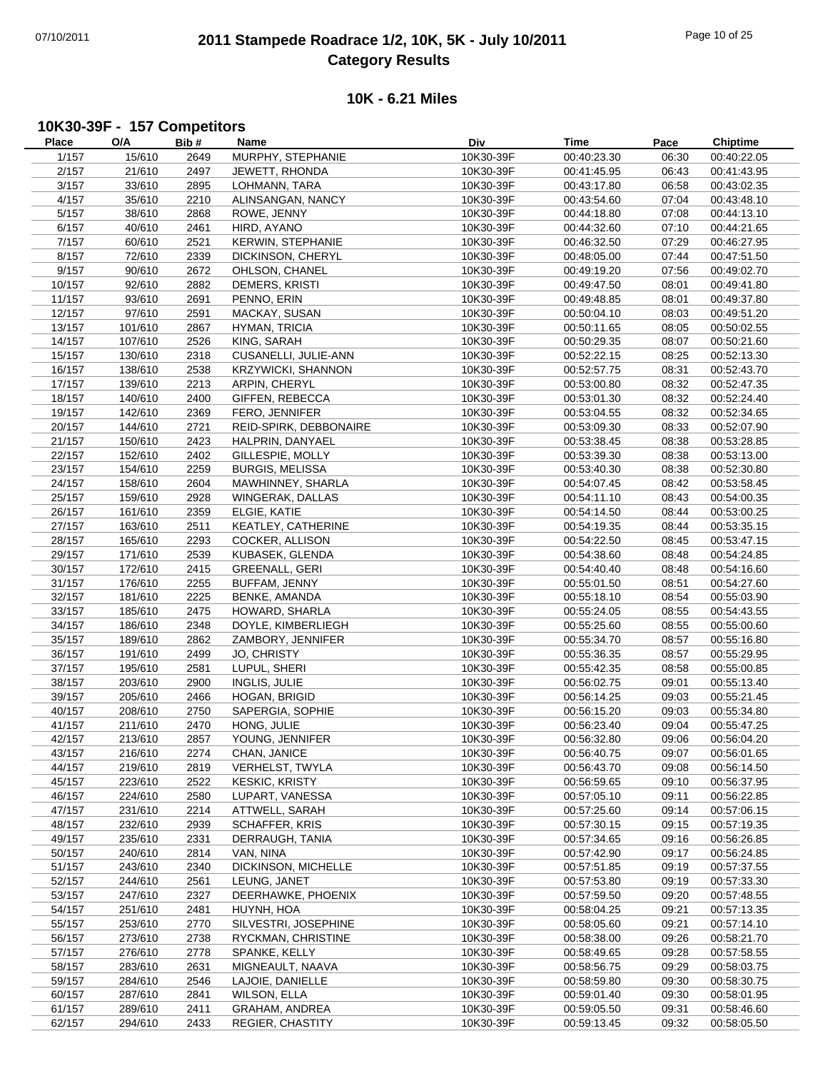## 07/10/2011 **2011 Stampede Roadrace 1/2, 10K, 5K - July 10/2011** Page 10 of 25 **Category Results**

#### **10K - 6.21 Miles**

## **10K30-39F - 157 Competitors**

| Place  | O/A     | Bib# | Name                      | Div       | Time        | Pace  | Chiptime    |
|--------|---------|------|---------------------------|-----------|-------------|-------|-------------|
| 1/157  | 15/610  | 2649 | MURPHY, STEPHANIE         | 10K30-39F | 00:40:23.30 | 06:30 | 00:40:22.05 |
| 2/157  | 21/610  | 2497 | JEWETT, RHONDA            | 10K30-39F | 00:41:45.95 | 06:43 | 00:41:43.95 |
| 3/157  | 33/610  | 2895 | LOHMANN, TARA             | 10K30-39F | 00:43:17.80 | 06:58 | 00:43:02.35 |
|        |         |      |                           |           |             |       |             |
| 4/157  | 35/610  | 2210 | ALINSANGAN, NANCY         | 10K30-39F | 00:43:54.60 | 07:04 | 00:43:48.10 |
| 5/157  | 38/610  | 2868 | ROWE, JENNY               | 10K30-39F | 00:44:18.80 | 07:08 | 00:44:13.10 |
| 6/157  | 40/610  | 2461 | HIRD, AYANO               | 10K30-39F | 00:44:32.60 | 07:10 | 00:44:21.65 |
| 7/157  | 60/610  | 2521 | <b>KERWIN, STEPHANIE</b>  | 10K30-39F | 00:46:32.50 | 07:29 | 00:46:27.95 |
| 8/157  | 72/610  | 2339 | DICKINSON, CHERYL         | 10K30-39F | 00:48:05.00 | 07:44 | 00:47:51.50 |
| 9/157  | 90/610  | 2672 | OHLSON, CHANEL            | 10K30-39F | 00:49:19.20 | 07:56 | 00:49:02.70 |
| 10/157 | 92/610  | 2882 | <b>DEMERS, KRISTI</b>     | 10K30-39F | 00:49:47.50 | 08:01 | 00:49:41.80 |
| 11/157 | 93/610  | 2691 | PENNO, ERIN               | 10K30-39F | 00:49:48.85 | 08:01 | 00:49:37.80 |
| 12/157 | 97/610  | 2591 | MACKAY, SUSAN             | 10K30-39F | 00:50:04.10 | 08:03 | 00:49:51.20 |
| 13/157 | 101/610 | 2867 | HYMAN, TRICIA             | 10K30-39F | 00:50:11.65 | 08:05 | 00:50:02.55 |
|        |         |      |                           |           |             |       |             |
| 14/157 | 107/610 | 2526 | KING, SARAH               | 10K30-39F | 00:50:29.35 | 08:07 | 00:50:21.60 |
| 15/157 | 130/610 | 2318 | CUSANELLI, JULIE-ANN      | 10K30-39F | 00:52:22.15 | 08:25 | 00:52:13.30 |
| 16/157 | 138/610 | 2538 | <b>KRZYWICKI, SHANNON</b> | 10K30-39F | 00:52:57.75 | 08:31 | 00:52:43.70 |
| 17/157 | 139/610 | 2213 | ARPIN, CHERYL             | 10K30-39F | 00:53:00.80 | 08:32 | 00:52:47.35 |
| 18/157 | 140/610 | 2400 | GIFFEN, REBECCA           | 10K30-39F | 00:53:01.30 | 08:32 | 00:52:24.40 |
| 19/157 | 142/610 | 2369 | FERO, JENNIFER            | 10K30-39F | 00:53:04.55 | 08:32 | 00:52:34.65 |
| 20/157 | 144/610 | 2721 | REID-SPIRK, DEBBONAIRE    | 10K30-39F | 00:53:09.30 | 08:33 | 00:52:07.90 |
| 21/157 | 150/610 | 2423 | HALPRIN, DANYAEL          | 10K30-39F | 00:53:38.45 | 08:38 | 00:53:28.85 |
| 22/157 | 152/610 | 2402 | GILLESPIE, MOLLY          | 10K30-39F | 00:53:39.30 | 08:38 | 00:53:13.00 |
| 23/157 | 154/610 | 2259 | <b>BURGIS, MELISSA</b>    | 10K30-39F | 00:53:40.30 | 08:38 | 00:52:30.80 |
|        |         |      |                           |           |             |       |             |
| 24/157 | 158/610 | 2604 | MAWHINNEY, SHARLA         | 10K30-39F | 00:54:07.45 | 08:42 | 00:53:58.45 |
| 25/157 | 159/610 | 2928 | WINGERAK, DALLAS          | 10K30-39F | 00:54:11.10 | 08:43 | 00:54:00.35 |
| 26/157 | 161/610 | 2359 | ELGIE, KATIE              | 10K30-39F | 00:54:14.50 | 08:44 | 00:53:00.25 |
| 27/157 | 163/610 | 2511 | KEATLEY, CATHERINE        | 10K30-39F | 00:54:19.35 | 08:44 | 00:53:35.15 |
| 28/157 | 165/610 | 2293 | COCKER, ALLISON           | 10K30-39F | 00:54:22.50 | 08:45 | 00:53:47.15 |
| 29/157 | 171/610 | 2539 | KUBASEK, GLENDA           | 10K30-39F | 00:54:38.60 | 08:48 | 00:54:24.85 |
| 30/157 | 172/610 | 2415 | <b>GREENALL, GERI</b>     | 10K30-39F | 00:54:40.40 | 08:48 | 00:54:16.60 |
| 31/157 | 176/610 | 2255 | BUFFAM, JENNY             | 10K30-39F | 00:55:01.50 | 08:51 | 00:54:27.60 |
| 32/157 | 181/610 | 2225 | BENKE, AMANDA             | 10K30-39F | 00:55:18.10 | 08:54 | 00:55:03.90 |
| 33/157 | 185/610 | 2475 | HOWARD, SHARLA            | 10K30-39F | 00:55:24.05 | 08:55 | 00:54:43.55 |
| 34/157 | 186/610 | 2348 | DOYLE, KIMBERLIEGH        | 10K30-39F | 00:55:25.60 | 08:55 | 00:55:00.60 |
|        |         |      |                           |           |             |       |             |
| 35/157 | 189/610 | 2862 | ZAMBORY, JENNIFER         | 10K30-39F | 00:55:34.70 | 08:57 | 00:55:16.80 |
| 36/157 | 191/610 | 2499 | JO, CHRISTY               | 10K30-39F | 00:55:36.35 | 08:57 | 00:55:29.95 |
| 37/157 | 195/610 | 2581 | LUPUL, SHERI              | 10K30-39F | 00:55:42.35 | 08:58 | 00:55:00.85 |
| 38/157 | 203/610 | 2900 | INGLIS, JULIE             | 10K30-39F | 00:56:02.75 | 09:01 | 00:55:13.40 |
| 39/157 | 205/610 | 2466 | HOGAN, BRIGID             | 10K30-39F | 00:56:14.25 | 09:03 | 00:55:21.45 |
| 40/157 | 208/610 | 2750 | SAPERGIA, SOPHIE          | 10K30-39F | 00:56:15.20 | 09:03 | 00:55:34.80 |
| 41/157 | 211/610 | 2470 | HONG, JULIE               | 10K30-39F | 00:56:23.40 | 09:04 | 00:55:47.25 |
| 42/157 | 213/610 | 2857 | YOUNG, JENNIFER           | 10K30-39F | 00:56:32.80 | 09:06 | 00:56:04.20 |
| 43/157 | 216/610 | 2274 | CHAN, JANICE              | 10K30-39F | 00:56:40.75 | 09:07 | 00:56:01.65 |
| 44/157 | 219/610 | 2819 | VERHELST, TWYLA           | 10K30-39F | 00:56:43.70 | 09:08 | 00:56:14.50 |
| 45/157 | 223/610 | 2522 | <b>KESKIC, KRISTY</b>     | 10K30-39F | 00:56:59.65 | 09:10 | 00:56:37.95 |
| 46/157 | 224/610 |      | LUPART, VANESSA           | 10K30-39F |             |       | 00:56:22.85 |
|        |         | 2580 |                           |           | 00:57:05.10 | 09:11 |             |
| 47/157 | 231/610 | 2214 | ATTWELL, SARAH            | 10K30-39F | 00:57:25.60 | 09:14 | 00:57:06.15 |
| 48/157 | 232/610 | 2939 | <b>SCHAFFER, KRIS</b>     | 10K30-39F | 00:57:30.15 | 09:15 | 00:57:19.35 |
| 49/157 | 235/610 | 2331 | DERRAUGH, TANIA           | 10K30-39F | 00:57:34.65 | 09:16 | 00:56:26.85 |
| 50/157 | 240/610 | 2814 | VAN, NINA                 | 10K30-39F | 00:57:42.90 | 09:17 | 00:56:24.85 |
| 51/157 | 243/610 | 2340 | DICKINSON, MICHELLE       | 10K30-39F | 00:57:51.85 | 09:19 | 00:57:37.55 |
| 52/157 | 244/610 | 2561 | LEUNG, JANET              | 10K30-39F | 00:57:53.80 | 09:19 | 00:57:33.30 |
| 53/157 | 247/610 | 2327 | DEERHAWKE, PHOENIX        | 10K30-39F | 00:57:59.50 | 09:20 | 00:57:48.55 |
| 54/157 | 251/610 | 2481 | HUYNH, HOA                | 10K30-39F | 00:58:04.25 | 09:21 | 00:57:13.35 |
| 55/157 | 253/610 | 2770 | SILVESTRI, JOSEPHINE      | 10K30-39F | 00:58:05.60 | 09:21 | 00:57:14.10 |
| 56/157 | 273/610 | 2738 | RYCKMAN, CHRISTINE        | 10K30-39F | 00:58:38.00 | 09:26 | 00:58:21.70 |
| 57/157 | 276/610 | 2778 | SPANKE, KELLY             | 10K30-39F | 00:58:49.65 | 09:28 | 00:57:58.55 |
|        |         |      |                           |           |             |       |             |
| 58/157 | 283/610 | 2631 | MIGNEAULT, NAAVA          | 10K30-39F | 00:58:56.75 | 09:29 | 00:58:03.75 |
| 59/157 | 284/610 | 2546 | LAJOIE, DANIELLE          | 10K30-39F | 00:58:59.80 | 09:30 | 00:58:30.75 |
| 60/157 | 287/610 | 2841 | WILSON, ELLA              | 10K30-39F | 00:59:01.40 | 09:30 | 00:58:01.95 |
| 61/157 | 289/610 | 2411 | <b>GRAHAM, ANDREA</b>     | 10K30-39F | 00:59:05.50 | 09:31 | 00:58:46.60 |
| 62/157 | 294/610 | 2433 | <b>REGIER, CHASTITY</b>   | 10K30-39F | 00:59:13.45 | 09:32 | 00:58:05.50 |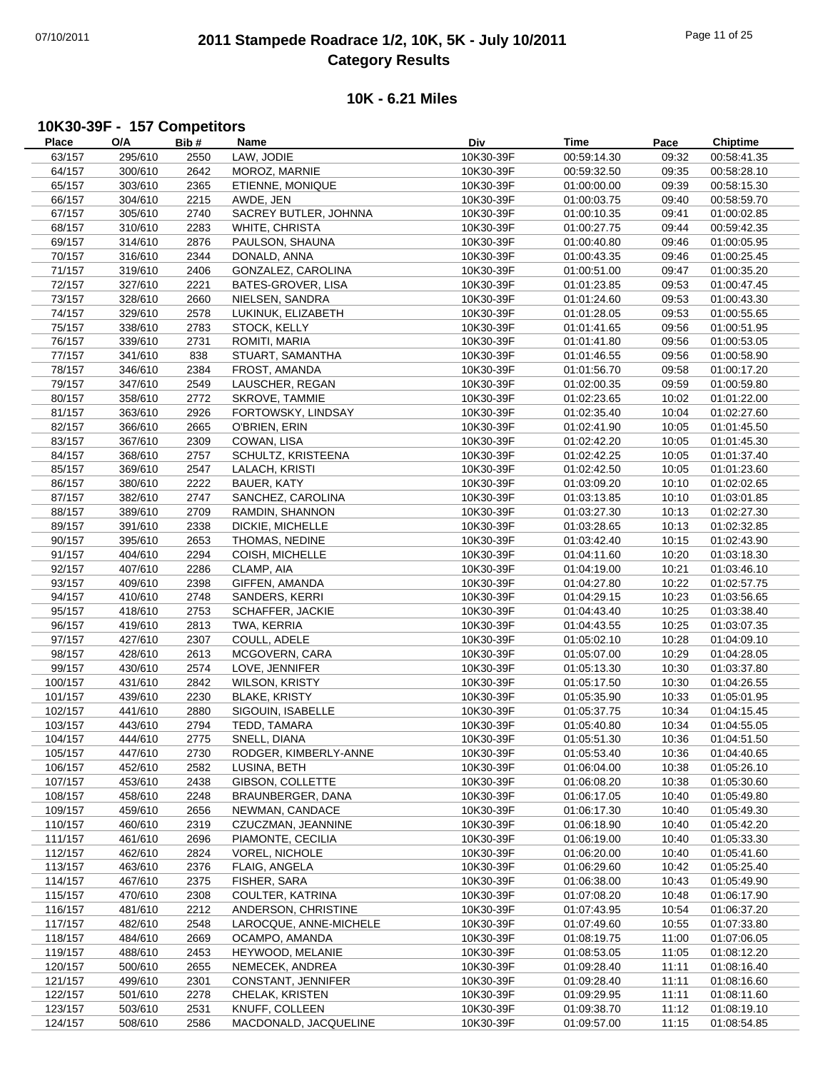## 07/10/2011 **2011 Stampede Roadrace 1/2, 10K, 5K - July 10/2011** Page 11 of 25 **Category Results**

#### **10K - 6.21 Miles**

## **10K30-39F - 157 Competitors**

| <b>Place</b> | O/A     | Bib# | Name                    | Div       | Time        | Pace  | <b>Chiptime</b> |
|--------------|---------|------|-------------------------|-----------|-------------|-------|-----------------|
| 63/157       | 295/610 | 2550 | LAW, JODIE              | 10K30-39F | 00:59:14.30 | 09:32 | 00:58:41.35     |
| 64/157       | 300/610 | 2642 | MOROZ, MARNIE           | 10K30-39F | 00:59:32.50 | 09:35 | 00:58:28.10     |
| 65/157       | 303/610 | 2365 | ETIENNE, MONIQUE        | 10K30-39F | 01:00:00.00 | 09:39 | 00:58:15.30     |
| 66/157       | 304/610 | 2215 | AWDE, JEN               | 10K30-39F | 01:00:03.75 | 09:40 | 00:58:59.70     |
| 67/157       | 305/610 | 2740 | SACREY BUTLER, JOHNNA   | 10K30-39F | 01:00:10.35 | 09:41 | 01:00:02.85     |
| 68/157       | 310/610 | 2283 | WHITE, CHRISTA          | 10K30-39F | 01:00:27.75 | 09:44 | 00:59:42.35     |
| 69/157       | 314/610 | 2876 | PAULSON, SHAUNA         | 10K30-39F | 01:00:40.80 | 09:46 | 01:00:05.95     |
| 70/157       | 316/610 | 2344 | DONALD, ANNA            | 10K30-39F | 01:00:43.35 | 09:46 | 01:00:25.45     |
|              |         |      | GONZALEZ, CAROLINA      | 10K30-39F |             |       |                 |
| 71/157       | 319/610 | 2406 |                         |           | 01:00:51.00 | 09:47 | 01:00:35.20     |
| 72/157       | 327/610 | 2221 | BATES-GROVER, LISA      | 10K30-39F | 01:01:23.85 | 09:53 | 01:00:47.45     |
| 73/157       | 328/610 | 2660 | NIELSEN, SANDRA         | 10K30-39F | 01:01:24.60 | 09:53 | 01:00:43.30     |
| 74/157       | 329/610 | 2578 | LUKINUK, ELIZABETH      | 10K30-39F | 01:01:28.05 | 09:53 | 01:00:55.65     |
| 75/157       | 338/610 | 2783 | STOCK, KELLY            | 10K30-39F | 01:01:41.65 | 09:56 | 01:00:51.95     |
| 76/157       | 339/610 | 2731 | ROMITI, MARIA           | 10K30-39F | 01:01:41.80 | 09:56 | 01:00:53.05     |
| 77/157       | 341/610 | 838  | STUART, SAMANTHA        | 10K30-39F | 01:01:46.55 | 09:56 | 01:00:58.90     |
| 78/157       | 346/610 | 2384 | FROST, AMANDA           | 10K30-39F | 01:01:56.70 | 09:58 | 01:00:17.20     |
| 79/157       | 347/610 | 2549 | LAUSCHER, REGAN         | 10K30-39F | 01:02:00.35 | 09:59 | 01:00:59.80     |
| 80/157       | 358/610 | 2772 | SKROVE, TAMMIE          | 10K30-39F | 01:02:23.65 | 10:02 | 01:01:22.00     |
| 81/157       | 363/610 | 2926 | FORTOWSKY, LINDSAY      | 10K30-39F | 01:02:35.40 | 10:04 | 01:02:27.60     |
| 82/157       | 366/610 | 2665 | O'BRIEN, ERIN           | 10K30-39F | 01:02:41.90 | 10:05 | 01:01:45.50     |
| 83/157       | 367/610 | 2309 | COWAN, LISA             | 10K30-39F | 01:02:42.20 | 10:05 | 01:01:45.30     |
| 84/157       | 368/610 | 2757 | SCHULTZ, KRISTEENA      | 10K30-39F | 01:02:42.25 | 10:05 | 01:01:37.40     |
| 85/157       | 369/610 | 2547 | LALACH, KRISTI          | 10K30-39F | 01:02:42.50 | 10:05 | 01:01:23.60     |
| 86/157       | 380/610 | 2222 | BAUER, KATY             | 10K30-39F | 01:03:09.20 | 10:10 | 01:02:02.65     |
|              |         |      |                         | 10K30-39F |             |       |                 |
| 87/157       | 382/610 | 2747 | SANCHEZ, CAROLINA       |           | 01:03:13.85 | 10:10 | 01:03:01.85     |
| 88/157       | 389/610 | 2709 | RAMDIN, SHANNON         | 10K30-39F | 01:03:27.30 | 10:13 | 01:02:27.30     |
| 89/157       | 391/610 | 2338 | DICKIE, MICHELLE        | 10K30-39F | 01:03:28.65 | 10:13 | 01:02:32.85     |
| 90/157       | 395/610 | 2653 | THOMAS, NEDINE          | 10K30-39F | 01:03:42.40 | 10:15 | 01:02:43.90     |
| 91/157       | 404/610 | 2294 | COISH, MICHELLE         | 10K30-39F | 01:04:11.60 | 10:20 | 01:03:18.30     |
| 92/157       | 407/610 | 2286 | CLAMP, AIA              | 10K30-39F | 01:04:19.00 | 10:21 | 01:03:46.10     |
| 93/157       | 409/610 | 2398 | GIFFEN, AMANDA          | 10K30-39F | 01:04:27.80 | 10:22 | 01:02:57.75     |
| 94/157       | 410/610 | 2748 | SANDERS, KERRI          | 10K30-39F | 01:04:29.15 | 10:23 | 01:03:56.65     |
| 95/157       | 418/610 | 2753 | <b>SCHAFFER, JACKIE</b> | 10K30-39F | 01:04:43.40 | 10:25 | 01:03:38.40     |
| 96/157       | 419/610 | 2813 | TWA, KERRIA             | 10K30-39F | 01:04:43.55 | 10:25 | 01:03:07.35     |
| 97/157       | 427/610 | 2307 | COULL, ADELE            | 10K30-39F | 01:05:02.10 | 10:28 | 01:04:09.10     |
| 98/157       | 428/610 | 2613 | MCGOVERN, CARA          | 10K30-39F | 01:05:07.00 | 10:29 | 01:04:28.05     |
| 99/157       | 430/610 | 2574 | LOVE, JENNIFER          | 10K30-39F | 01:05:13.30 | 10:30 | 01:03:37.80     |
| 100/157      | 431/610 | 2842 | WILSON, KRISTY          | 10K30-39F | 01:05:17.50 | 10:30 | 01:04:26.55     |
| 101/157      | 439/610 | 2230 | <b>BLAKE, KRISTY</b>    | 10K30-39F | 01:05:35.90 | 10:33 | 01:05:01.95     |
| 102/157      | 441/610 | 2880 | SIGOUIN, ISABELLE       | 10K30-39F | 01:05:37.75 | 10:34 | 01:04:15.45     |
| 103/157      | 443/610 | 2794 | TEDD, TAMARA            | 10K30-39F | 01:05:40.80 | 10:34 | 01:04:55.05     |
|              | 444/610 |      | <b>SNELL, DIANA</b>     |           |             |       |                 |
| 104/157      |         | 2775 |                         | 10K30-39F | 01:05:51.30 | 10:36 | 01:04:51.50     |
| 105/157      | 447/610 | 2730 | RODGER, KIMBERLY-ANNE   | 10K30-39F | 01:05:53.40 | 10:36 | 01:04:40.65     |
| 106/157      | 452/610 | 2582 | LUSINA, BETH            | 10K30-39F | 01:06:04.00 | 10:38 | 01:05:26.10     |
| 107/157      | 453/610 | 2438 | GIBSON, COLLETTE        | 10K30-39F | 01:06:08.20 | 10:38 | 01:05:30.60     |
| 108/157      | 458/610 | 2248 | BRAUNBERGER, DANA       | 10K30-39F | 01:06:17.05 | 10:40 | 01:05:49.80     |
| 109/157      | 459/610 | 2656 | NEWMAN, CANDACE         | 10K30-39F | 01:06:17.30 | 10:40 | 01:05:49.30     |
| 110/157      | 460/610 | 2319 | CZUCZMAN, JEANNINE      | 10K30-39F | 01:06:18.90 | 10:40 | 01:05:42.20     |
| 111/157      | 461/610 | 2696 | PIAMONTE, CECILIA       | 10K30-39F | 01:06:19.00 | 10:40 | 01:05:33.30     |
| 112/157      | 462/610 | 2824 | <b>VOREL, NICHOLE</b>   | 10K30-39F | 01:06:20.00 | 10:40 | 01:05:41.60     |
| 113/157      | 463/610 | 2376 | FLAIG, ANGELA           | 10K30-39F | 01:06:29.60 | 10:42 | 01:05:25.40     |
| 114/157      | 467/610 | 2375 | FISHER, SARA            | 10K30-39F | 01:06:38.00 | 10:43 | 01:05:49.90     |
| 115/157      | 470/610 | 2308 | COULTER, KATRINA        | 10K30-39F | 01:07:08.20 | 10:48 | 01:06:17.90     |
| 116/157      | 481/610 | 2212 | ANDERSON, CHRISTINE     | 10K30-39F | 01:07:43.95 | 10:54 | 01:06:37.20     |
| 117/157      | 482/610 | 2548 | LAROCQUE, ANNE-MICHELE  | 10K30-39F | 01:07:49.60 | 10:55 | 01:07:33.80     |
| 118/157      | 484/610 | 2669 | OCAMPO, AMANDA          | 10K30-39F | 01:08:19.75 | 11:00 | 01:07:06.05     |
| 119/157      | 488/610 | 2453 | HEYWOOD, MELANIE        | 10K30-39F | 01:08:53.05 | 11:05 | 01:08:12.20     |
| 120/157      | 500/610 | 2655 | NEMECEK, ANDREA         | 10K30-39F | 01:09:28.40 | 11:11 | 01:08:16.40     |
| 121/157      | 499/610 | 2301 | CONSTANT, JENNIFER      | 10K30-39F | 01:09:28.40 | 11:11 | 01:08:16.60     |
|              |         |      |                         |           |             |       |                 |
| 122/157      | 501/610 | 2278 | CHELAK, KRISTEN         | 10K30-39F | 01:09:29.95 | 11:11 | 01:08:11.60     |
| 123/157      | 503/610 | 2531 | KNUFF, COLLEEN          | 10K30-39F | 01:09:38.70 | 11:12 | 01:08:19.10     |
| 124/157      | 508/610 | 2586 | MACDONALD, JACQUELINE   | 10K30-39F | 01:09:57.00 | 11:15 | 01:08:54.85     |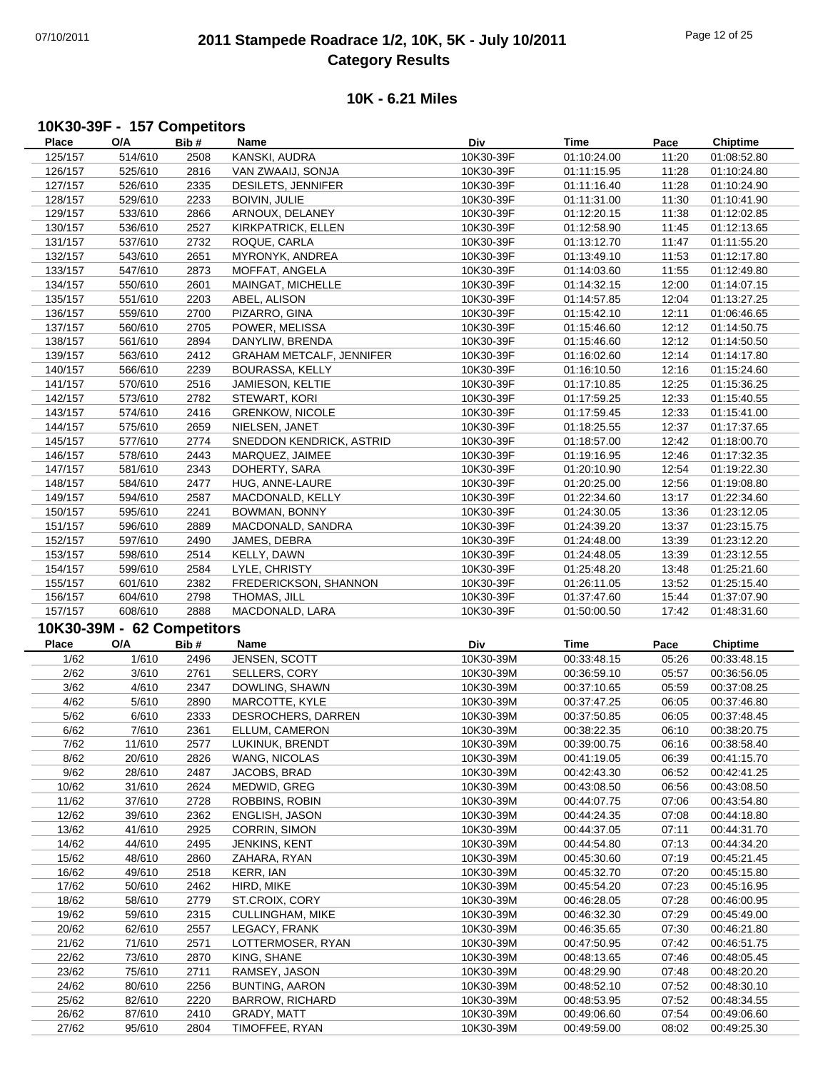## 07/10/2011 **2011 Stampede Roadrace 1/2, 10K, 5K - July 10/2011** Page 12 of 25 **Category Results**

#### **10K - 6.21 Miles**

## **10K30-39F - 157 Competitors**

| Place          | O/A                               | Bib#         | Name                          | Div                    | Time                       | Pace           | <b>Chiptime</b>            |
|----------------|-----------------------------------|--------------|-------------------------------|------------------------|----------------------------|----------------|----------------------------|
| 125/157        | 514/610                           | 2508         | KANSKI, AUDRA                 | 10K30-39F              | 01:10:24.00                | 11:20          | 01:08:52.80                |
| 126/157        | 525/610                           | 2816         | VAN ZWAAIJ, SONJA             | 10K30-39F              | 01:11:15.95                | 11:28          | 01:10:24.80                |
| 127/157        | 526/610                           | 2335         | DESILETS, JENNIFER            | 10K30-39F              | 01:11:16.40                | 11:28          | 01:10:24.90                |
| 128/157        | 529/610                           | 2233         | <b>BOIVIN, JULIE</b>          | 10K30-39F              | 01:11:31.00                | 11:30          | 01:10:41.90                |
|                |                                   |              |                               |                        |                            |                |                            |
| 129/157        | 533/610                           | 2866         | ARNOUX, DELANEY               | 10K30-39F              | 01:12:20.15                | 11:38          | 01:12:02.85                |
| 130/157        | 536/610                           | 2527         | KIRKPATRICK, ELLEN            | 10K30-39F              | 01:12:58.90                | 11:45          | 01:12:13.65                |
| 131/157        | 537/610                           | 2732         | ROQUE, CARLA                  | 10K30-39F              | 01:13:12.70                | 11:47          | 01:11:55.20                |
| 132/157        | 543/610                           | 2651         | MYRONYK, ANDREA               | 10K30-39F              | 01:13:49.10                | 11:53          | 01:12:17.80                |
| 133/157        | 547/610                           | 2873         | MOFFAT, ANGELA                | 10K30-39F              | 01:14:03.60                | 11:55          | 01:12:49.80                |
| 134/157        | 550/610                           | 2601         | MAINGAT, MICHELLE             | 10K30-39F              | 01:14:32.15                | 12:00          | 01:14:07.15                |
| 135/157        | 551/610                           | 2203         | ABEL, ALISON                  | 10K30-39F              | 01:14:57.85                | 12:04          | 01:13:27.25                |
| 136/157        | 559/610                           | 2700         | PIZARRO, GINA                 | 10K30-39F              | 01:15:42.10                | 12:11          | 01:06:46.65                |
| 137/157        | 560/610                           | 2705         | POWER, MELISSA                | 10K30-39F              | 01:15:46.60                | 12:12          | 01:14:50.75                |
| 138/157        | 561/610                           | 2894         | DANYLIW, BRENDA               | 10K30-39F              | 01:15:46.60                | 12:12          | 01:14:50.50                |
| 139/157        | 563/610                           | 2412         | GRAHAM METCALF, JENNIFER      | 10K30-39F              | 01:16:02.60                | 12:14          | 01:14:17.80                |
|                |                                   |              |                               |                        |                            |                |                            |
| 140/157        | 566/610                           | 2239         | BOURASSA, KELLY               | 10K30-39F              | 01:16:10.50                | 12:16          | 01:15:24.60                |
| 141/157        | 570/610                           | 2516         | JAMIESON, KELTIE              | 10K30-39F              | 01:17:10.85                | 12:25          | 01:15:36.25                |
| 142/157        | 573/610                           | 2782         | STEWART, KORI                 | 10K30-39F              | 01:17:59.25                | 12:33          | 01:15:40.55                |
| 143/157        | 574/610                           | 2416         | <b>GRENKOW, NICOLE</b>        | 10K30-39F              | 01:17:59.45                | 12:33          | 01:15:41.00                |
| 144/157        | 575/610                           | 2659         | NIELSEN, JANET                | 10K30-39F              | 01:18:25.55                | 12:37          | 01:17:37.65                |
| 145/157        | 577/610                           | 2774         | SNEDDON KENDRICK, ASTRID      | 10K30-39F              | 01:18:57.00                | 12:42          | 01:18:00.70                |
| 146/157        | 578/610                           | 2443         | MARQUEZ, JAIMEE               | 10K30-39F              | 01:19:16.95                | 12:46          | 01:17:32.35                |
| 147/157        | 581/610                           | 2343         | DOHERTY, SARA                 | 10K30-39F              | 01:20:10.90                | 12:54          | 01:19:22.30                |
| 148/157        | 584/610                           | 2477         | HUG, ANNE-LAURE               | 10K30-39F              | 01:20:25.00                | 12:56          | 01:19:08.80                |
| 149/157        | 594/610                           | 2587         | MACDONALD, KELLY              | 10K30-39F              | 01:22:34.60                | 13:17          | 01:22:34.60                |
| 150/157        | 595/610                           | 2241         | BOWMAN, BONNY                 | 10K30-39F              | 01:24:30.05                | 13:36          | 01:23:12.05                |
| 151/157        | 596/610                           | 2889         | MACDONALD, SANDRA             | 10K30-39F              | 01:24:39.20                | 13:37          | 01:23:15.75                |
|                |                                   |              |                               | 10K30-39F              |                            | 13:39          |                            |
| 152/157        | 597/610                           | 2490         | JAMES, DEBRA                  |                        | 01:24:48.00                |                | 01:23:12.20                |
| 153/157        | 598/610                           | 2514         | KELLY, DAWN                   | 10K30-39F              | 01:24:48.05                | 13:39          | 01:23:12.55                |
| 154/157        | 599/610                           | 2584         | LYLE, CHRISTY                 | 10K30-39F              | 01:25:48.20                | 13:48          | 01:25:21.60                |
| 155/157        | 601/610                           | 2382         | FREDERICKSON, SHANNON         | 10K30-39F              | 01:26:11.05                | 13:52          | 01:25:15.40                |
|                |                                   |              |                               |                        |                            |                |                            |
| 156/157        | 604/610                           | 2798         | THOMAS, JILL                  | 10K30-39F              | 01:37:47.60                | 15:44          | 01:37:07.90                |
| 157/157        | 608/610                           | 2888         | MACDONALD, LARA               | 10K30-39F              | 01:50:00.50                | 17:42          | 01:48:31.60                |
|                |                                   |              |                               |                        |                            |                |                            |
| <b>Place</b>   | 10K30-39M - 62 Competitors<br>O/A | Bib#         | Name                          | Div                    | <b>Time</b>                | Pace           | <b>Chiptime</b>            |
|                |                                   |              |                               |                        |                            |                |                            |
| 1/62           | 1/610                             | 2496         | JENSEN, SCOTT                 | 10K30-39M              | 00:33:48.15                | 05:26          | 00:33:48.15                |
| 2/62           | 3/610                             | 2761         | SELLERS, CORY                 | 10K30-39M              | 00:36:59.10                | 05:57          | 00:36:56.05                |
| 3/62           | 4/610                             | 2347         | DOWLING, SHAWN                | 10K30-39M              | 00:37:10.65                | 05:59          | 00:37:08.25                |
| 4/62           | 5/610                             | 2890         | MARCOTTE, KYLE                | 10K30-39M              | 00:37:47.25                | 06:05          | 00:37:46.80                |
| 5/62           | 6/610                             | 2333         | DESROCHERS, DARREN            | 10K30-39M              | 00:37:50.85                | 06:05          | 00:37:48.45                |
| 6/62           | 7/610                             | 2361         | ELLUM, CAMERON                | 10K30-39M              | 00:38:22.35                | 06:10          | 00:38:20.75                |
| 7/62           | 11/610                            | 2577         | LUKINUK, BRENDT               | 10K30-39M              | 00:39:00.75                | 06:16          | 00:38:58.40                |
| 8/62           | 20/610                            | 2826         | WANG, NICOLAS                 | 10K30-39M              | 00:41:19.05                | 06:39          | 00:41:15.70                |
| 9/62           | 28/610                            | 2487         | JACOBS, BRAD                  | 10K30-39M              | 00:42:43.30                | 06:52          | 00:42:41.25                |
| 10/62          | 31/610                            | 2624         | MEDWID, GREG                  | 10K30-39M              | 00:43:08.50                | 06:56          | 00:43:08.50                |
| 11/62          | 37/610                            | 2728         | ROBBINS, ROBIN                | 10K30-39M              | 00:44:07.75                | 07:06          | 00:43:54.80                |
| 12/62          | 39/610                            | 2362         | ENGLISH, JASON                | 10K30-39M              | 00:44:24.35                | 07:08          | 00:44:18.80                |
| 13/62          | 41/610                            | 2925         | CORRIN, SIMON                 | 10K30-39M              | 00:44:37.05                | 07:11          | 00:44:31.70                |
| 14/62          | 44/610                            | 2495         | JENKINS, KENT                 | 10K30-39M              | 00:44:54.80                | 07:13          | 00:44:34.20                |
|                | 48/610                            | 2860         |                               | 10K30-39M              |                            | 07:19          |                            |
| 15/62          |                                   |              | ZAHARA, RYAN                  |                        | 00:45:30.60                |                | 00:45:21.45                |
| 16/62          | 49/610                            | 2518         | KERR, IAN                     | 10K30-39M<br>10K30-39M | 00:45:32.70                | 07:20          | 00:45:15.80                |
| 17/62          | 50/610                            | 2462         | HIRD, MIKE                    |                        | 00:45:54.20                | 07:23          | 00:45:16.95                |
| 18/62          | 58/610                            | 2779         | ST.CROIX, CORY                | 10K30-39M              | 00:46:28.05                | 07:28          | 00:46:00.95                |
| 19/62          | 59/610                            | 2315         | <b>CULLINGHAM, MIKE</b>       | 10K30-39M              | 00:46:32.30                | 07:29          | 00:45:49.00                |
| 20/62          | 62/610                            | 2557         | LEGACY, FRANK                 | 10K30-39M              | 00:46:35.65                | 07:30          | 00:46:21.80                |
| 21/62          | 71/610                            | 2571         | LOTTERMOSER, RYAN             | 10K30-39M              | 00:47:50.95                | 07:42          | 00:46:51.75                |
| 22/62          | 73/610                            | 2870         | KING, SHANE                   | 10K30-39M              | 00:48:13.65                | 07:46          | 00:48:05.45                |
| 23/62          | 75/610                            | 2711         | RAMSEY, JASON                 | 10K30-39M              | 00:48:29.90                | 07:48          | 00:48:20.20                |
| 24/62          | 80/610                            | 2256         | <b>BUNTING, AARON</b>         | 10K30-39M              | 00:48:52.10                | 07:52          | 00:48:30.10                |
| 25/62          | 82/610                            | 2220         | <b>BARROW, RICHARD</b>        | 10K30-39M              | 00:48:53.95                | 07:52          | 00:48:34.55                |
| 26/62<br>27/62 | 87/610<br>95/610                  | 2410<br>2804 | GRADY, MATT<br>TIMOFFEE, RYAN | 10K30-39M<br>10K30-39M | 00:49:06.60<br>00:49:59.00 | 07:54<br>08:02 | 00:49:06.60<br>00:49:25.30 |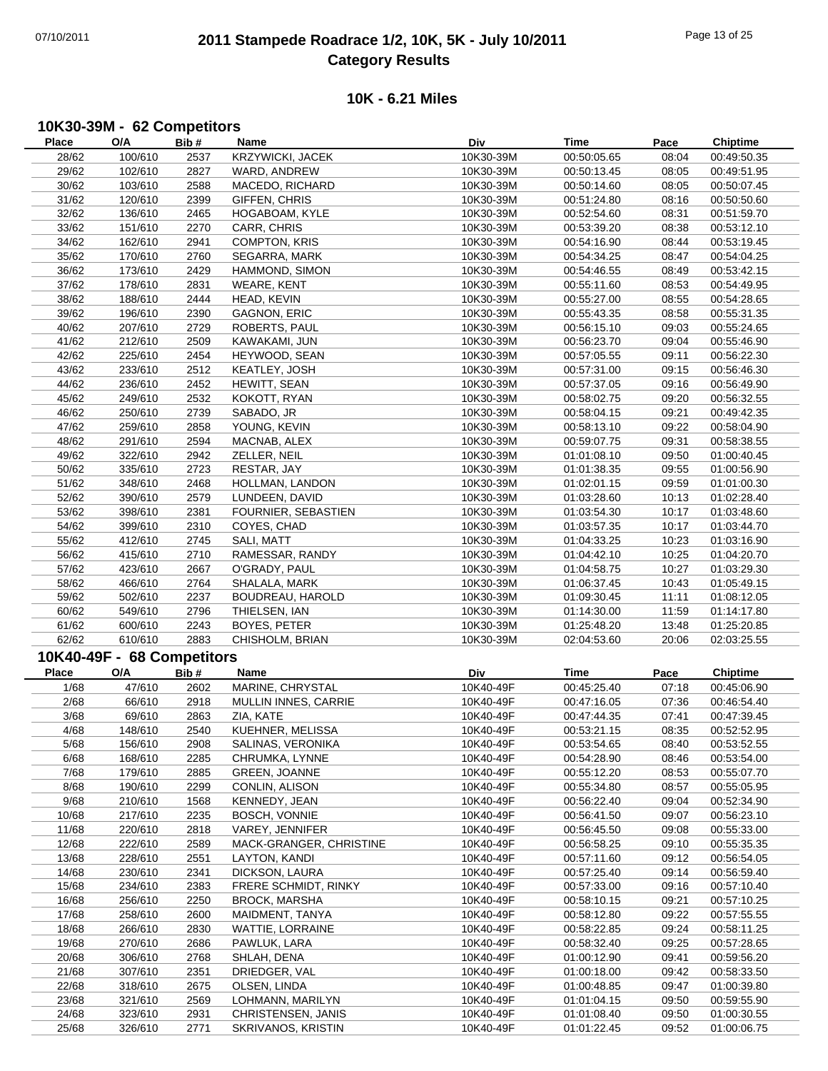## 07/10/2011 **2011 Stampede Roadrace 1/2, 10K, 5K - July 10/2011** Page 13 of 25 **Category Results**

#### **10K - 6.21 Miles**

#### **10K30-39M - 62 Competitors**

| Place          | O/A                        | Bib#         | Name                                     | Div                    | Time                       | Pace           | <b>Chiptime</b>            |
|----------------|----------------------------|--------------|------------------------------------------|------------------------|----------------------------|----------------|----------------------------|
| 28/62          | 100/610                    | 2537         | KRZYWICKI, JACEK                         | 10K30-39M              | 00:50:05.65                | 08:04          | 00:49:50.35                |
| 29/62          | 102/610                    | 2827         | WARD, ANDREW                             | 10K30-39M              | 00:50:13.45                | 08:05          | 00:49:51.95                |
| 30/62          | 103/610                    | 2588         | MACEDO, RICHARD                          | 10K30-39M              | 00:50:14.60                | 08:05          | 00:50:07.45                |
| 31/62          | 120/610                    | 2399         | GIFFEN, CHRIS                            | 10K30-39M              | 00:51:24.80                | 08:16          | 00:50:50.60                |
| 32/62          | 136/610                    | 2465         | HOGABOAM, KYLE                           | 10K30-39M              | 00:52:54.60                | 08:31          | 00:51:59.70                |
| 33/62          | 151/610                    | 2270         | CARR, CHRIS                              | 10K30-39M              | 00:53:39.20                | 08:38          | 00:53:12.10                |
|                |                            |              |                                          |                        |                            |                |                            |
| 34/62          | 162/610                    | 2941         | <b>COMPTON, KRIS</b>                     | 10K30-39M              | 00:54:16.90                | 08:44          | 00:53:19.45                |
| 35/62          | 170/610                    | 2760         | SEGARRA, MARK                            | 10K30-39M              | 00:54:34.25                | 08:47          | 00:54:04.25                |
| 36/62          | 173/610                    | 2429         | HAMMOND, SIMON                           | 10K30-39M              | 00:54:46.55                | 08:49          | 00:53:42.15                |
| 37/62          | 178/610                    | 2831         | <b>WEARE, KENT</b>                       | 10K30-39M              | 00:55:11.60                | 08:53          | 00:54:49.95                |
| 38/62          | 188/610                    | 2444         | HEAD, KEVIN                              | 10K30-39M              | 00:55:27.00                | 08:55          | 00:54:28.65                |
| 39/62          | 196/610                    | 2390         | GAGNON, ERIC                             | 10K30-39M              | 00:55:43.35                | 08:58          | 00:55:31.35                |
| 40/62          | 207/610                    | 2729         | ROBERTS, PAUL                            | 10K30-39M              | 00:56:15.10                | 09:03          | 00:55:24.65                |
| 41/62          | 212/610                    | 2509         | KAWAKAMI, JUN                            | 10K30-39M              | 00:56:23.70                | 09:04          | 00:55:46.90                |
| 42/62          | 225/610                    | 2454         | HEYWOOD, SEAN                            | 10K30-39M              | 00:57:05.55                | 09:11          | 00:56:22.30                |
| 43/62          | 233/610                    | 2512         | KEATLEY, JOSH                            | 10K30-39M              | 00:57:31.00                | 09:15          | 00:56:46.30                |
| 44/62          | 236/610                    | 2452         | HEWITT, SEAN                             | 10K30-39M              | 00:57:37.05                | 09:16          | 00:56:49.90                |
| 45/62          | 249/610                    | 2532         | KOKOTT, RYAN                             | 10K30-39M              | 00:58:02.75                | 09:20          | 00:56:32.55                |
| 46/62          | 250/610                    | 2739         | SABADO, JR                               | 10K30-39M              | 00:58:04.15                | 09:21          | 00:49:42.35                |
| 47/62          | 259/610                    | 2858         | YOUNG, KEVIN                             | 10K30-39M              | 00:58:13.10                | 09:22          | 00:58:04.90                |
| 48/62          | 291/610                    | 2594         | MACNAB, ALEX                             | 10K30-39M              | 00:59:07.75                | 09:31          | 00:58:38.55                |
| 49/62          | 322/610                    | 2942         | ZELLER, NEIL                             | 10K30-39M              | 01:01:08.10                | 09:50          | 01:00:40.45                |
| 50/62          | 335/610                    | 2723         | RESTAR, JAY                              | 10K30-39M              | 01:01:38.35                | 09:55          | 01:00:56.90                |
| 51/62          | 348/610                    | 2468         | HOLLMAN, LANDON                          | 10K30-39M              | 01:02:01.15                | 09:59          | 01:01:00.30                |
| 52/62          | 390/610                    | 2579         | LUNDEEN, DAVID                           | 10K30-39M              | 01:03:28.60                | 10:13          | 01:02:28.40                |
| 53/62          | 398/610                    | 2381         | FOURNIER, SEBASTIEN                      | 10K30-39M              | 01:03:54.30                | 10:17          | 01:03:48.60                |
| 54/62          | 399/610                    | 2310         | COYES, CHAD                              | 10K30-39M              | 01:03:57.35                | 10:17          | 01:03:44.70                |
|                |                            |              |                                          |                        |                            |                |                            |
| 55/62          | 412/610                    | 2745         | SALI, MATT                               | 10K30-39M              | 01:04:33.25                | 10:23          | 01:03:16.90                |
| 56/62          | 415/610                    | 2710         | RAMESSAR, RANDY                          | 10K30-39M              | 01:04:42.10                | 10:25          | 01:04:20.70                |
| 57/62          | 423/610                    | 2667         | O'GRADY, PAUL                            | 10K30-39M              | 01:04:58.75                | 10:27          | 01:03:29.30                |
| 58/62          | 466/610                    | 2764         | SHALALA, MARK                            | 10K30-39M              | 01:06:37.45                | 10:43          | 01:05:49.15                |
| 59/62          | 502/610                    | 2237         | BOUDREAU, HAROLD                         | 10K30-39M              | 01:09:30.45                | 11:11          | 01:08:12.05                |
|                |                            |              |                                          |                        |                            |                |                            |
| 60/62          | 549/610                    | 2796         | THIELSEN, IAN                            | 10K30-39M              | 01:14:30.00                | 11:59          | 01:14:17.80                |
| 61/62          | 600/610                    | 2243         | BOYES, PETER                             | 10K30-39M              | 01:25:48.20                | 13:48          | 01:25:20.85                |
| 62/62          | 610/610                    | 2883         | CHISHOLM, BRIAN                          | 10K30-39M              | 02:04:53.60                | 20:06          | 02:03:25.55                |
|                |                            |              |                                          |                        |                            |                |                            |
|                | 10K40-49F - 68 Competitors |              |                                          |                        |                            |                |                            |
| Place          | O/A                        | Bib#         | Name                                     | Div                    | <b>Time</b>                | Pace           | <b>Chiptime</b>            |
| 1/68           | 47/610                     | 2602         | MARINE, CHRYSTAL                         | 10K40-49F              | 00:45:25.40                | 07:18          | 00:45:06.90                |
| 2/68           | 66/610                     | 2918         | MULLIN INNES, CARRIE                     | 10K40-49F              | 00:47:16.05                | 07:36          | 00:46:54.40                |
| 3/68           | 69/610                     | 2863         | ZIA, KATE                                | 10K40-49F              | 00:47:44.35                | 07:41          | 00:47:39.45                |
| 4/68           | 148/610                    | 2540         | KUEHNER, MELISSA                         | 10K40-49F              | 00:53:21.15                | 08:35          | 00:52:52.95                |
| 5/68           | 156/610                    | 2908         | SALINAS, VERONIKA                        | 10K40-49F              | 00:53:54.65                | 08:40          | 00:53:52.55                |
| 6/68           | 168/610                    | 2285         | CHRUMKA, LYNNE                           | 10K40-49F              | 00:54:28.90                | 08:46          | 00:53:54.00                |
| 7/68           | 179/610                    | 2885         | GREEN, JOANNE                            | 10K40-49F              | 00:55:12.20                | 08:53          | 00:55:07.70                |
| 8/68           | 190/610                    | 2299         | CONLIN, ALISON                           | 10K40-49F              | 00:55:34.80                | 08:57          | 00:55:05.95                |
| 9/68           | 210/610                    | 1568         | KENNEDY, JEAN                            | 10K40-49F              | 00:56:22.40                | 09:04          | 00:52:34.90                |
| 10/68          | 217/610                    | 2235         | BOSCH, VONNIE                            | 10K40-49F              | 00:56:41.50                | 09:07          | 00:56:23.10                |
| 11/68          | 220/610                    | 2818         | VAREY, JENNIFER                          | 10K40-49F              | 00:56:45.50                | 09:08          | 00:55:33.00                |
| 12/68          | 222/610                    | 2589         | MACK-GRANGER, CHRISTINE                  | 10K40-49F              | 00:56:58.25                | 09:10          | 00:55:35.35                |
| 13/68          | 228/610                    | 2551         | LAYTON, KANDI                            | 10K40-49F              | 00:57:11.60                | 09:12          | 00:56:54.05                |
| 14/68          | 230/610                    | 2341         | DICKSON, LAURA                           | 10K40-49F              | 00:57:25.40                | 09:14          | 00:56:59.40                |
| 15/68          | 234/610                    | 2383         | FRERE SCHMIDT, RINKY                     | 10K40-49F              | 00:57:33.00                | 09:16          | 00:57:10.40                |
| 16/68          | 256/610                    | 2250         | <b>BROCK, MARSHA</b>                     | 10K40-49F              | 00:58:10.15                | 09:21          | 00:57:10.25                |
| 17/68          | 258/610                    | 2600         | MAIDMENT, TANYA                          | 10K40-49F              | 00:58:12.80                | 09:22          | 00:57:55.55                |
| 18/68          | 266/610                    | 2830         | WATTIE, LORRAINE                         | 10K40-49F              | 00:58:22.85                | 09:24          | 00:58:11.25                |
| 19/68          | 270/610                    | 2686         | PAWLUK, LARA                             | 10K40-49F              | 00:58:32.40                | 09:25          | 00:57:28.65                |
| 20/68          | 306/610                    | 2768         | SHLAH, DENA                              | 10K40-49F              | 01:00:12.90                | 09:41          | 00:59:56.20                |
| 21/68          | 307/610                    | 2351         | DRIEDGER, VAL                            | 10K40-49F              | 01:00:18.00                | 09:42          | 00:58:33.50                |
| 22/68          | 318/610                    | 2675         | OLSEN, LINDA                             | 10K40-49F              | 01:00:48.85                | 09:47          | 01:00:39.80                |
|                |                            |              |                                          |                        |                            |                |                            |
| 23/68          | 321/610                    | 2569         | LOHMANN, MARILYN                         | 10K40-49F              | 01:01:04.15                | 09:50          | 00:59:55.90                |
| 24/68<br>25/68 | 323/610<br>326/610         | 2931<br>2771 | CHRISTENSEN, JANIS<br>SKRIVANOS, KRISTIN | 10K40-49F<br>10K40-49F | 01:01:08.40<br>01:01:22.45 | 09:50<br>09:52 | 01:00:30.55<br>01:00:06.75 |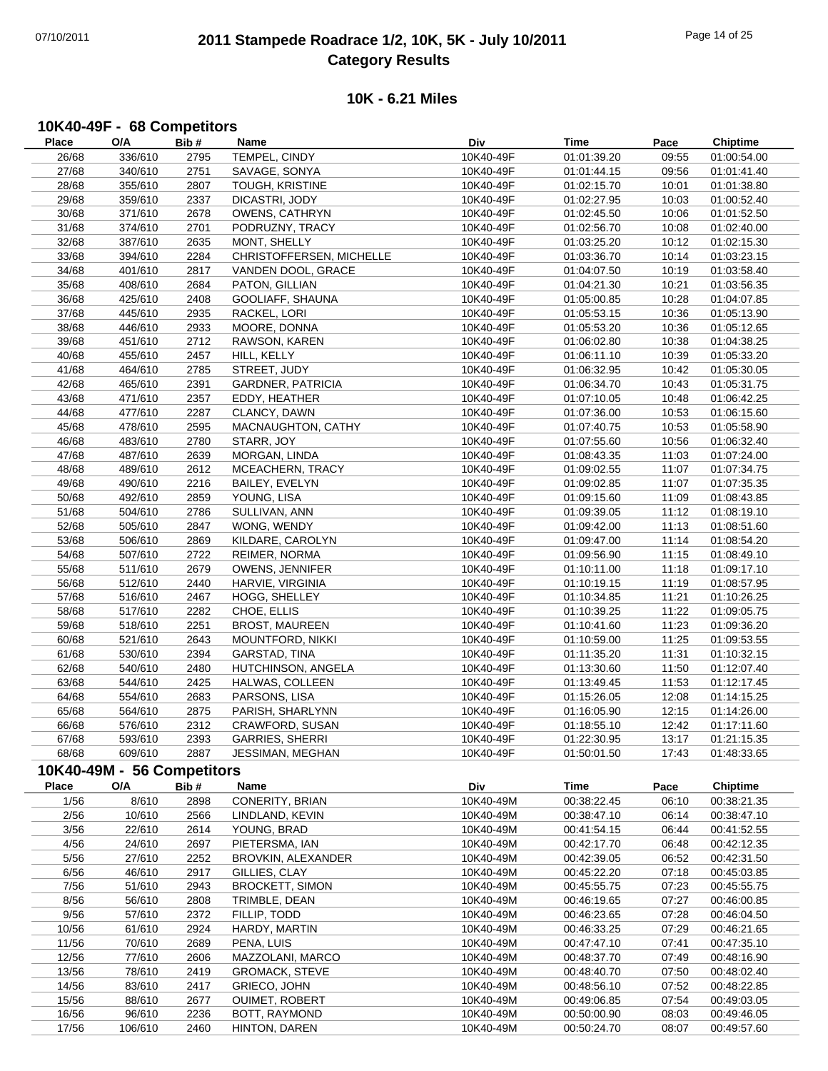## 07/10/2011 **2011 Stampede Roadrace 1/2, 10K, 5K - July 10/2011** Page 14 of 25 **Category Results**

#### **10K - 6.21 Miles**

# **10K40-49F - 68 Competitors**

| <b>Place</b> | O/A                        | Bib# | Name                     | Div       | Time        | Pace  | <b>Chiptime</b> |
|--------------|----------------------------|------|--------------------------|-----------|-------------|-------|-----------------|
| 26/68        | 336/610                    | 2795 | TEMPEL, CINDY            | 10K40-49F | 01:01:39.20 | 09:55 | 01:00:54.00     |
| 27/68        | 340/610                    | 2751 | SAVAGE, SONYA            | 10K40-49F | 01:01:44.15 | 09:56 | 01:01:41.40     |
| 28/68        | 355/610                    | 2807 | TOUGH, KRISTINE          | 10K40-49F | 01:02:15.70 | 10:01 | 01:01:38.80     |
| 29/68        | 359/610                    | 2337 | DICASTRI, JODY           | 10K40-49F | 01:02:27.95 | 10:03 | 01:00:52.40     |
| 30/68        | 371/610                    | 2678 | OWENS, CATHRYN           | 10K40-49F | 01:02:45.50 | 10:06 | 01:01:52.50     |
| 31/68        | 374/610                    | 2701 | PODRUZNY, TRACY          | 10K40-49F | 01:02:56.70 | 10:08 | 01:02:40.00     |
| 32/68        | 387/610                    | 2635 | MONT, SHELLY             | 10K40-49F | 01:03:25.20 | 10:12 | 01:02:15.30     |
| 33/68        | 394/610                    | 2284 | CHRISTOFFERSEN, MICHELLE | 10K40-49F | 01:03:36.70 | 10:14 | 01:03:23.15     |
| 34/68        | 401/610                    | 2817 | VANDEN DOOL, GRACE       | 10K40-49F | 01:04:07.50 | 10:19 | 01:03:58.40     |
| 35/68        | 408/610                    | 2684 | PATON, GILLIAN           | 10K40-49F | 01:04:21.30 | 10:21 | 01:03:56.35     |
| 36/68        | 425/610                    | 2408 | GOOLIAFF, SHAUNA         | 10K40-49F | 01:05:00.85 | 10:28 | 01:04:07.85     |
| 37/68        | 445/610                    | 2935 | RACKEL, LORI             | 10K40-49F | 01:05:53.15 | 10:36 | 01:05:13.90     |
| 38/68        | 446/610                    | 2933 | MOORE, DONNA             | 10K40-49F | 01:05:53.20 | 10:36 | 01:05:12.65     |
| 39/68        | 451/610                    | 2712 | RAWSON, KAREN            | 10K40-49F | 01:06:02.80 | 10:38 | 01:04:38.25     |
| 40/68        |                            |      |                          | 10K40-49F |             |       |                 |
|              | 455/610                    | 2457 | HILL, KELLY              | 10K40-49F | 01:06:11.10 | 10:39 | 01:05:33.20     |
| 41/68        | 464/610                    | 2785 | STREET, JUDY             |           | 01:06:32.95 | 10:42 | 01:05:30.05     |
| 42/68        | 465/610                    | 2391 | <b>GARDNER, PATRICIA</b> | 10K40-49F | 01:06:34.70 | 10:43 | 01:05:31.75     |
| 43/68        | 471/610                    | 2357 | EDDY, HEATHER            | 10K40-49F | 01:07:10.05 | 10:48 | 01:06:42.25     |
| 44/68        | 477/610                    | 2287 | CLANCY, DAWN             | 10K40-49F | 01:07:36.00 | 10:53 | 01:06:15.60     |
| 45/68        | 478/610                    | 2595 | MACNAUGHTON, CATHY       | 10K40-49F | 01:07:40.75 | 10:53 | 01:05:58.90     |
| 46/68        | 483/610                    | 2780 | STARR, JOY               | 10K40-49F | 01:07:55.60 | 10:56 | 01:06:32.40     |
| 47/68        | 487/610                    | 2639 | MORGAN, LINDA            | 10K40-49F | 01:08:43.35 | 11:03 | 01:07:24.00     |
| 48/68        | 489/610                    | 2612 | MCEACHERN, TRACY         | 10K40-49F | 01:09:02.55 | 11:07 | 01:07:34.75     |
| 49/68        | 490/610                    | 2216 | BAILEY, EVELYN           | 10K40-49F | 01:09:02.85 | 11:07 | 01:07:35.35     |
| 50/68        | 492/610                    | 2859 | YOUNG, LISA              | 10K40-49F | 01:09:15.60 | 11:09 | 01:08:43.85     |
| 51/68        | 504/610                    | 2786 | SULLIVAN, ANN            | 10K40-49F | 01:09:39.05 | 11:12 | 01:08:19.10     |
| 52/68        | 505/610                    | 2847 | WONG, WENDY              | 10K40-49F | 01:09:42.00 | 11:13 | 01:08:51.60     |
| 53/68        | 506/610                    | 2869 | KILDARE, CAROLYN         | 10K40-49F | 01:09:47.00 | 11:14 | 01:08:54.20     |
| 54/68        | 507/610                    | 2722 | REIMER, NORMA            | 10K40-49F | 01:09:56.90 | 11:15 | 01:08:49.10     |
| 55/68        | 511/610                    | 2679 | OWENS, JENNIFER          | 10K40-49F | 01:10:11.00 | 11:18 | 01:09:17.10     |
| 56/68        | 512/610                    | 2440 | HARVIE, VIRGINIA         | 10K40-49F | 01:10:19.15 | 11:19 | 01:08:57.95     |
| 57/68        | 516/610                    | 2467 | HOGG, SHELLEY            | 10K40-49F | 01:10:34.85 | 11:21 | 01:10:26.25     |
| 58/68        | 517/610                    | 2282 | CHOE, ELLIS              | 10K40-49F | 01:10:39.25 | 11:22 | 01:09:05.75     |
| 59/68        | 518/610                    | 2251 | <b>BROST, MAUREEN</b>    | 10K40-49F | 01:10:41.60 | 11:23 | 01:09:36.20     |
| 60/68        | 521/610                    | 2643 | MOUNTFORD, NIKKI         | 10K40-49F | 01:10:59.00 | 11:25 | 01:09:53.55     |
| 61/68        | 530/610                    | 2394 | GARSTAD, TINA            | 10K40-49F | 01:11:35.20 | 11:31 | 01:10:32.15     |
| 62/68        | 540/610                    | 2480 | HUTCHINSON, ANGELA       | 10K40-49F | 01:13:30.60 | 11:50 | 01:12:07.40     |
| 63/68        | 544/610                    | 2425 | HALWAS, COLLEEN          | 10K40-49F | 01:13:49.45 | 11:53 | 01:12:17.45     |
| 64/68        | 554/610                    | 2683 | PARSONS, LISA            | 10K40-49F | 01:15:26.05 | 12:08 | 01:14:15.25     |
| 65/68        | 564/610                    | 2875 | PARISH, SHARLYNN         | 10K40-49F | 01:16:05.90 | 12:15 | 01:14:26.00     |
| 66/68        | 576/610                    | 2312 | CRAWFORD, SUSAN          | 10K40-49F | 01:18:55.10 | 12:42 | 01:17:11.60     |
| 67/68        | 593/610                    | 2393 | <b>GARRIES, SHERRI</b>   | 10K40-49F | 01:22:30.95 | 13:17 | 01:21:15.35     |
| 68/68        | 609/610                    | 2887 | JESSIMAN, MEGHAN         | 10K40-49F |             | 17:43 |                 |
|              |                            |      |                          |           | 01:50:01.50 |       | 01:48:33.65     |
|              | 10K40-49M - 56 Competitors |      |                          |           |             |       |                 |
| Place        | O/A                        | Bib# | Name                     | Div       | <b>Time</b> | Pace  | <b>Chiptime</b> |
| 1/56         | 8/610                      | 2898 | CONERITY, BRIAN          | 10K40-49M | 00:38:22.45 | 06:10 | 00:38:21.35     |
| 2/56         | 10/610                     | 2566 | LINDLAND, KEVIN          | 10K40-49M | 00:38:47.10 | 06:14 | 00:38:47.10     |
| 3/56         | 22/610                     | 2614 | YOUNG, BRAD              | 10K40-49M | 00:41:54.15 | 06:44 | 00:41:52.55     |
| 4/56         | 24/610                     | 2697 | PIETERSMA, IAN           | 10K40-49M | 00:42:17.70 | 06:48 | 00:42:12.35     |
| 5/56         | 27/610                     | 2252 | BROVKIN, ALEXANDER       | 10K40-49M | 00:42:39.05 | 06:52 | 00:42:31.50     |
| 6/56         | 46/610                     | 2917 | GILLIES, CLAY            | 10K40-49M | 00:45:22.20 | 07:18 | 00:45:03.85     |
| 7/56         | 51/610                     | 2943 | <b>BROCKETT, SIMON</b>   | 10K40-49M | 00:45:55.75 | 07:23 | 00:45:55.75     |
| 8/56         | 56/610                     | 2808 | TRIMBLE, DEAN            | 10K40-49M | 00:46:19.65 | 07:27 | 00:46:00.85     |
| 9/56         | 57/610                     | 2372 | FILLIP, TODD             | 10K40-49M | 00:46:23.65 | 07:28 | 00:46:04.50     |
| 10/56        | 61/610                     | 2924 | HARDY, MARTIN            | 10K40-49M | 00:46:33.25 | 07:29 | 00:46:21.65     |
| 11/56        | 70/610                     | 2689 | PENA, LUIS               | 10K40-49M | 00:47:47.10 | 07:41 | 00:47:35.10     |
| 12/56        | 77/610                     | 2606 | MAZZOLANI, MARCO         | 10K40-49M | 00:48:37.70 | 07:49 | 00:48:16.90     |
| 13/56        | 78/610                     | 2419 | <b>GROMACK, STEVE</b>    | 10K40-49M | 00:48:40.70 | 07:50 | 00:48:02.40     |
| 14/56        | 83/610                     | 2417 | GRIECO, JOHN             | 10K40-49M | 00:48:56.10 | 07:52 | 00:48:22.85     |
| 15/56        | 88/610                     | 2677 | OUIMET, ROBERT           | 10K40-49M | 00:49:06.85 | 07:54 | 00:49:03.05     |
| 16/56        | 96/610                     | 2236 | BOTT, RAYMOND            | 10K40-49M | 00:50:00.90 | 08:03 | 00:49:46.05     |
| 17/56        | 106/610                    | 2460 | HINTON, DAREN            | 10K40-49M | 00:50:24.70 | 08:07 | 00:49:57.60     |
|              |                            |      |                          |           |             |       |                 |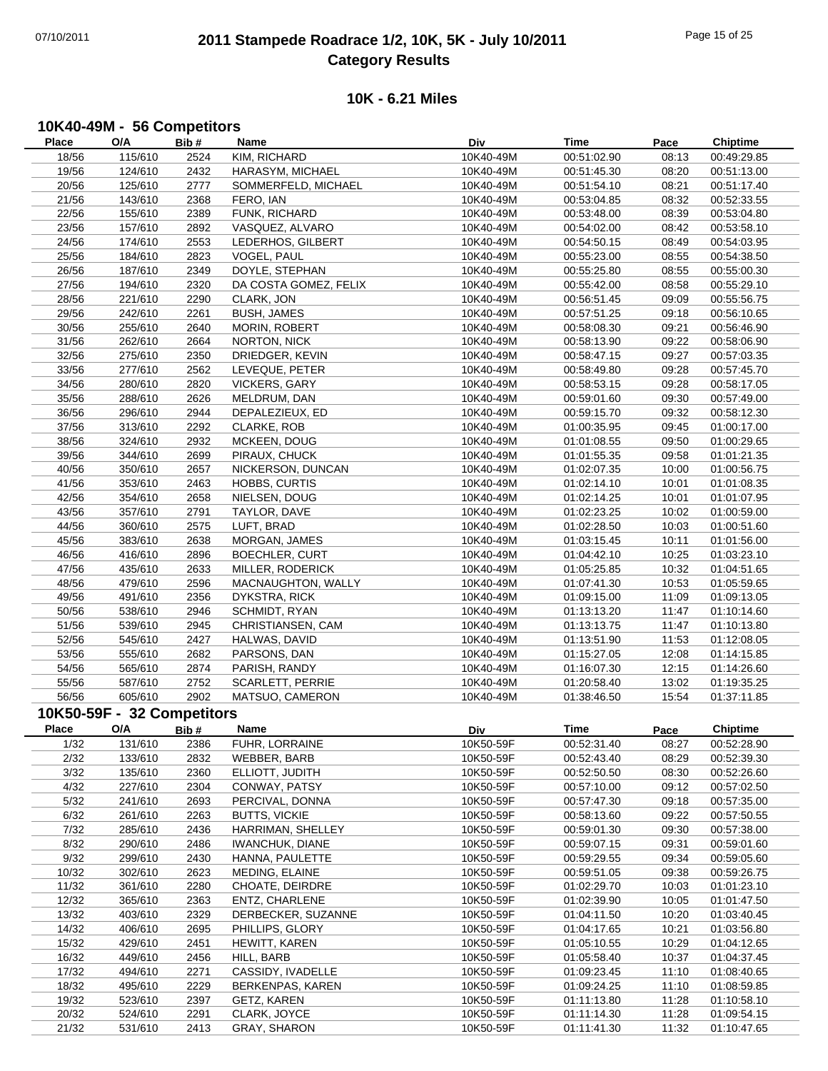## 07/10/2011 **2011 Stampede Roadrace 1/2, 10K, 5K - July 10/2011** Page 15 of 25 **Category Results**

#### **10K - 6.21 Miles**

#### **10K40-49M - 56 Competitors**

| Place        | O/A                        | Bib# | Name                    | Div       | <b>Time</b> | Pace  | <b>Chiptime</b> |
|--------------|----------------------------|------|-------------------------|-----------|-------------|-------|-----------------|
| 18/56        | 115/610                    | 2524 | KIM, RICHARD            | 10K40-49M | 00:51:02.90 | 08:13 | 00:49:29.85     |
| 19/56        | 124/610                    | 2432 | HARASYM, MICHAEL        | 10K40-49M | 00:51:45.30 | 08:20 | 00:51:13.00     |
| 20/56        | 125/610                    | 2777 | SOMMERFELD, MICHAEL     | 10K40-49M | 00:51:54.10 | 08:21 | 00:51:17.40     |
| 21/56        | 143/610                    | 2368 | FERO, IAN               | 10K40-49M | 00:53:04.85 | 08:32 | 00:52:33.55     |
| 22/56        | 155/610                    | 2389 | FUNK, RICHARD           | 10K40-49M | 00:53:48.00 | 08:39 | 00:53:04.80     |
| 23/56        | 157/610                    | 2892 | VASQUEZ, ALVARO         | 10K40-49M | 00:54:02.00 | 08:42 | 00:53:58.10     |
| 24/56        | 174/610                    | 2553 | LEDERHOS, GILBERT       | 10K40-49M | 00:54:50.15 | 08:49 | 00:54:03.95     |
| 25/56        | 184/610                    | 2823 | VOGEL, PAUL             | 10K40-49M | 00:55:23.00 | 08:55 | 00:54:38.50     |
| 26/56        | 187/610                    | 2349 | DOYLE, STEPHAN          | 10K40-49M | 00:55:25.80 | 08:55 | 00:55:00.30     |
| 27/56        | 194/610                    | 2320 | DA COSTA GOMEZ, FELIX   | 10K40-49M | 00:55:42.00 | 08:58 | 00:55:29.10     |
| 28/56        | 221/610                    | 2290 | CLARK, JON              | 10K40-49M | 00:56:51.45 | 09:09 | 00:55:56.75     |
| 29/56        | 242/610                    | 2261 | <b>BUSH, JAMES</b>      | 10K40-49M | 00:57:51.25 | 09:18 | 00:56:10.65     |
| 30/56        | 255/610                    | 2640 | <b>MORIN, ROBERT</b>    | 10K40-49M | 00:58:08.30 | 09:21 | 00:56:46.90     |
| 31/56        | 262/610                    | 2664 | <b>NORTON, NICK</b>     | 10K40-49M | 00:58:13.90 | 09:22 | 00:58:06.90     |
| 32/56        | 275/610                    | 2350 | DRIEDGER, KEVIN         | 10K40-49M | 00:58:47.15 | 09:27 | 00:57:03.35     |
| 33/56        | 277/610                    | 2562 | LEVEQUE, PETER          | 10K40-49M | 00:58:49.80 | 09:28 | 00:57:45.70     |
| 34/56        | 280/610                    | 2820 | <b>VICKERS, GARY</b>    | 10K40-49M | 00:58:53.15 | 09:28 | 00:58:17.05     |
| 35/56        | 288/610                    | 2626 | MELDRUM, DAN            | 10K40-49M | 00:59:01.60 | 09:30 | 00:57:49.00     |
| 36/56        | 296/610                    | 2944 | DEPALEZIEUX, ED         | 10K40-49M | 00:59:15.70 | 09:32 | 00:58:12.30     |
| 37/56        | 313/610                    | 2292 | CLARKE, ROB             | 10K40-49M | 01:00:35.95 | 09:45 | 01:00:17.00     |
| 38/56        | 324/610                    | 2932 | MCKEEN, DOUG            | 10K40-49M | 01:01:08.55 | 09:50 | 01:00:29.65     |
| 39/56        | 344/610                    | 2699 | PIRAUX, CHUCK           | 10K40-49M | 01:01:55.35 | 09:58 | 01:01:21.35     |
| 40/56        | 350/610                    | 2657 | NICKERSON, DUNCAN       | 10K40-49M | 01:02:07.35 | 10:00 | 01:00:56.75     |
| 41/56        | 353/610                    | 2463 | HOBBS, CURTIS           | 10K40-49M | 01:02:14.10 | 10:01 | 01:01:08.35     |
| 42/56        | 354/610                    | 2658 | NIELSEN, DOUG           | 10K40-49M | 01:02:14.25 | 10:01 | 01:01:07.95     |
| 43/56        | 357/610                    | 2791 | TAYLOR, DAVE            | 10K40-49M | 01:02:23.25 | 10:02 | 01:00:59.00     |
| 44/56        | 360/610                    | 2575 | LUFT, BRAD              | 10K40-49M | 01:02:28.50 | 10:03 | 01:00:51.60     |
| 45/56        | 383/610                    | 2638 | MORGAN, JAMES           | 10K40-49M | 01:03:15.45 | 10:11 | 01:01:56.00     |
| 46/56        | 416/610                    | 2896 | BOECHLER, CURT          | 10K40-49M | 01:04:42.10 | 10:25 | 01:03:23.10     |
| 47/56        | 435/610                    | 2633 | MILLER, RODERICK        | 10K40-49M | 01:05:25.85 | 10:32 | 01:04:51.65     |
| 48/56        | 479/610                    | 2596 | MACNAUGHTON, WALLY      | 10K40-49M | 01:07:41.30 | 10:53 | 01:05:59.65     |
| 49/56        | 491/610                    | 2356 | <b>DYKSTRA, RICK</b>    | 10K40-49M | 01:09:15.00 | 11:09 | 01:09:13.05     |
| 50/56        | 538/610                    | 2946 | SCHMIDT, RYAN           | 10K40-49M | 01:13:13.20 | 11:47 | 01:10:14.60     |
| 51/56        | 539/610                    | 2945 | CHRISTIANSEN, CAM       | 10K40-49M | 01:13:13.75 | 11:47 | 01:10:13.80     |
| 52/56        | 545/610                    | 2427 | HALWAS, DAVID           | 10K40-49M | 01:13:51.90 | 11:53 | 01:12:08.05     |
| 53/56        | 555/610                    | 2682 | PARSONS, DAN            | 10K40-49M | 01:15:27.05 | 12:08 | 01:14:15.85     |
| 54/56        | 565/610                    | 2874 | PARISH, RANDY           | 10K40-49M | 01:16:07.30 | 12:15 | 01:14:26.60     |
| 55/56        | 587/610                    | 2752 | <b>SCARLETT, PERRIE</b> | 10K40-49M | 01:20:58.40 | 13:02 | 01:19:35.25     |
| 56/56        | 605/610                    | 2902 | MATSUO, CAMERON         | 10K40-49M | 01:38:46.50 | 15:54 | 01:37:11.85     |
|              | 10K50-59F - 32 Competitors |      |                         |           |             |       |                 |
| <b>Place</b> | O/A                        | Bib# | Name                    |           | Time        |       | <b>Chiptime</b> |
|              |                            |      |                         | Div       |             | Pace  |                 |
| 1/32         | 131/610                    | 2386 | FUHR, LORRAINE          | 10K50-59F | 00:52:31.40 | 08:27 | 00:52:28.90     |
| 2/32         | 133/610                    | 2832 | WEBBER, BARB            | 10K50-59F | 00:52:43.40 | 08:29 | 00:52:39.30     |
| 3/32         | 135/610<br>227/610         | 2360 | ELLIOTT, JUDITH         | 10K50-59F | 00:52:50.50 | 08:30 | 00:52:26.60     |
| 4/32         |                            | 2304 | CONWAY, PATSY           | 10K50-59F | 00:57:10.00 | 09:12 | 00:57:02.50     |
| 5/32         | 241/610                    | 2693 | PERCIVAL, DONNA         | 10K50-59F | 00:57:47.30 | 09:18 | 00:57:35.00     |
| 6/32         | 261/610                    | 2263 | <b>BUTTS, VICKIE</b>    | 10K50-59F | 00:58:13.60 | 09:22 | 00:57:50.55     |
| 7/32         | 285/610                    | 2436 | HARRIMAN, SHELLEY       | 10K50-59F | 00:59:01.30 | 09:30 | 00:57:38.00     |
| 8/32         | 290/610                    | 2486 | <b>IWANCHUK, DIANE</b>  | 10K50-59F | 00:59:07.15 | 09:31 | 00:59:01.60     |
| 9/32         | 299/610                    | 2430 | HANNA, PAULETTE         | 10K50-59F | 00:59:29.55 | 09:34 | 00:59:05.60     |
| 10/32        | 302/610                    | 2623 | MEDING, ELAINE          | 10K50-59F | 00:59:51.05 | 09:38 | 00:59:26.75     |
| 11/32        | 361/610                    | 2280 | CHOATE, DEIRDRE         | 10K50-59F | 01:02:29.70 | 10:03 | 01:01:23.10     |
| 12/32        | 365/610                    | 2363 | ENTZ, CHARLENE          | 10K50-59F | 01:02:39.90 | 10:05 | 01:01:47.50     |
| 13/32        | 403/610                    | 2329 | DERBECKER, SUZANNE      | 10K50-59F | 01:04:11.50 | 10:20 | 01:03:40.45     |
| 14/32        | 406/610                    | 2695 | PHILLIPS, GLORY         | 10K50-59F | 01:04:17.65 | 10:21 | 01:03:56.80     |
| 15/32        | 429/610                    | 2451 | HEWITT, KAREN           | 10K50-59F | 01:05:10.55 | 10:29 | 01:04:12.65     |
| 16/32        | 449/610                    | 2456 | HILL, BARB              | 10K50-59F | 01:05:58.40 | 10:37 | 01:04:37.45     |
| 17/32        | 494/610                    | 2271 | CASSIDY, IVADELLE       | 10K50-59F | 01:09:23.45 | 11:10 | 01:08:40.65     |
| 18/32        | 495/610                    | 2229 | BERKENPAS, KAREN        | 10K50-59F | 01:09:24.25 | 11:10 | 01:08:59.85     |
| 19/32        | 523/610                    | 2397 | GETZ, KAREN             | 10K50-59F | 01:11:13.80 | 11:28 | 01:10:58.10     |
| 20/32        | 524/610                    | 2291 | CLARK, JOYCE            | 10K50-59F | 01:11:14.30 | 11:28 | 01:09:54.15     |
| 21/32        | 531/610                    | 2413 | GRAY, SHARON            | 10K50-59F | 01:11:41.30 | 11:32 | 01:10:47.65     |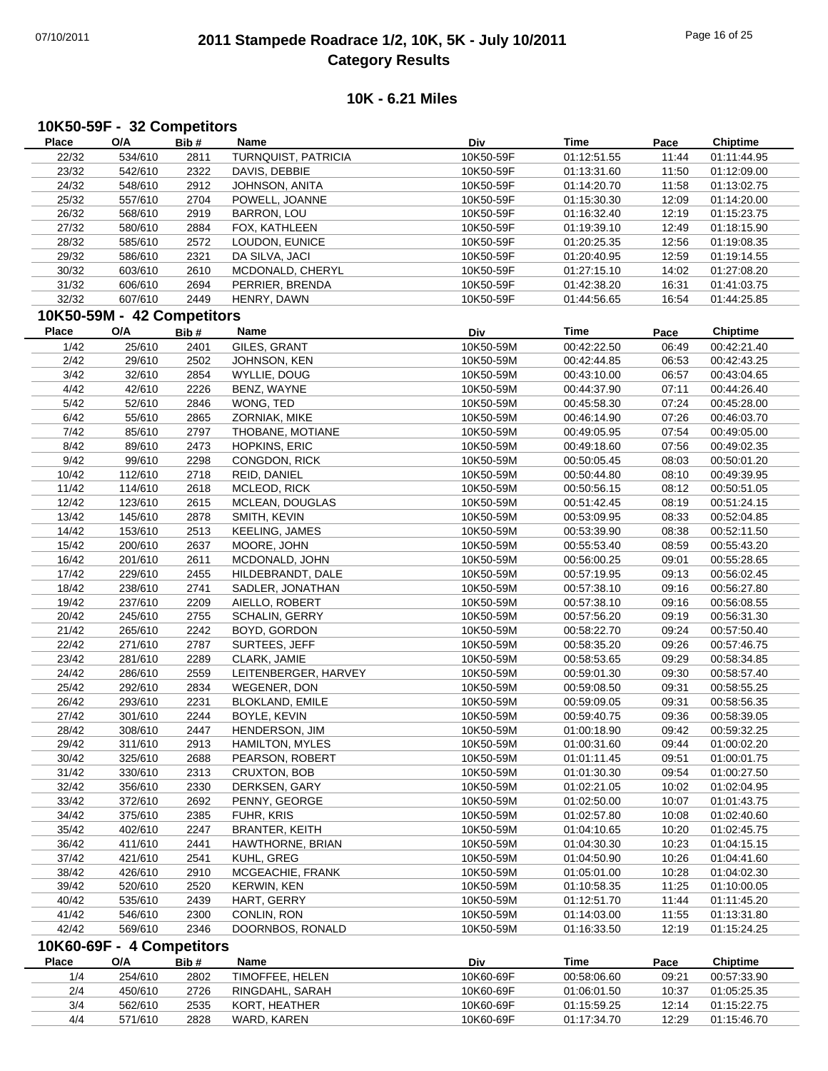## 07/10/2011 **2011 Stampede Roadrace 1/2, 10K, 5K - July 10/2011** Page 16 of 25 **Category Results**

#### **10K - 6.21 Miles**

#### **10K50-59F - 32 Competitors**

| Place | O/A                        | Bib# | Name                   | Div       | Time        | Pace  | <b>Chiptime</b> |
|-------|----------------------------|------|------------------------|-----------|-------------|-------|-----------------|
| 22/32 | 534/610                    | 2811 | TURNQUIST, PATRICIA    | 10K50-59F | 01:12:51.55 | 11:44 | 01:11:44.95     |
| 23/32 | 542/610                    | 2322 | DAVIS, DEBBIE          | 10K50-59F | 01:13:31.60 | 11:50 | 01:12:09.00     |
| 24/32 | 548/610                    | 2912 | JOHNSON, ANITA         | 10K50-59F | 01:14:20.70 | 11:58 | 01:13:02.75     |
| 25/32 | 557/610                    | 2704 | POWELL, JOANNE         | 10K50-59F | 01:15:30.30 | 12:09 | 01:14:20.00     |
| 26/32 | 568/610                    | 2919 | <b>BARRON, LOU</b>     | 10K50-59F | 01:16:32.40 | 12:19 | 01:15:23.75     |
| 27/32 | 580/610                    | 2884 | FOX, KATHLEEN          | 10K50-59F | 01:19:39.10 | 12:49 | 01:18:15.90     |
| 28/32 | 585/610                    | 2572 | LOUDON, EUNICE         | 10K50-59F | 01:20:25.35 | 12:56 | 01:19:08.35     |
| 29/32 | 586/610                    | 2321 | DA SILVA, JACI         | 10K50-59F | 01:20:40.95 | 12:59 | 01:19:14.55     |
| 30/32 | 603/610                    | 2610 | MCDONALD, CHERYL       | 10K50-59F | 01:27:15.10 | 14:02 | 01:27:08.20     |
| 31/32 | 606/610                    | 2694 | PERRIER, BRENDA        | 10K50-59F | 01:42:38.20 | 16:31 | 01:41:03.75     |
| 32/32 | 607/610                    | 2449 | HENRY, DAWN            | 10K50-59F | 01:44:56.65 | 16:54 | 01:44:25.85     |
|       | 10K50-59M - 42 Competitors |      |                        |           |             |       |                 |
|       |                            |      |                        |           |             |       |                 |
| Place | O/A                        | Bib# | Name                   | Div       | <b>Time</b> | Pace  | <b>Chiptime</b> |
| 1/42  | 25/610                     | 2401 | GILES, GRANT           | 10K50-59M | 00:42:22.50 | 06:49 | 00:42:21.40     |
| 2/42  | 29/610                     | 2502 | JOHNSON, KEN           | 10K50-59M | 00:42:44.85 | 06:53 | 00:42:43.25     |
| 3/42  | 32/610                     | 2854 | WYLLIE, DOUG           | 10K50-59M | 00:43:10.00 | 06:57 | 00:43:04.65     |
| 4/42  | 42/610                     | 2226 | BENZ, WAYNE            | 10K50-59M | 00:44:37.90 | 07:11 | 00:44:26.40     |
| 5/42  | 52/610                     | 2846 | WONG, TED              | 10K50-59M | 00:45:58.30 | 07:24 | 00:45:28.00     |
| 6/42  | 55/610                     | 2865 | ZORNIAK, MIKE          | 10K50-59M | 00:46:14.90 | 07:26 | 00:46:03.70     |
| 7/42  | 85/610                     | 2797 | THOBANE, MOTIANE       | 10K50-59M | 00:49:05.95 | 07:54 | 00:49:05.00     |
| 8/42  | 89/610                     | 2473 | HOPKINS, ERIC          | 10K50-59M | 00:49:18.60 | 07:56 | 00:49:02.35     |
| 9/42  | 99/610                     | 2298 | CONGDON, RICK          | 10K50-59M | 00:50:05.45 | 08:03 | 00:50:01.20     |
| 10/42 | 112/610                    | 2718 | REID, DANIEL           | 10K50-59M | 00:50:44.80 | 08:10 | 00:49:39.95     |
| 11/42 | 114/610                    | 2618 | MCLEOD, RICK           | 10K50-59M | 00:50:56.15 | 08:12 | 00:50:51.05     |
| 12/42 | 123/610                    | 2615 | MCLEAN, DOUGLAS        | 10K50-59M | 00:51:42.45 | 08:19 | 00:51:24.15     |
| 13/42 | 145/610                    | 2878 | SMITH, KEVIN           | 10K50-59M | 00:53:09.95 | 08:33 | 00:52:04.85     |
| 14/42 | 153/610                    | 2513 | <b>KEELING, JAMES</b>  | 10K50-59M | 00:53:39.90 | 08:38 | 00:52:11.50     |
| 15/42 | 200/610                    | 2637 | MOORE, JOHN            | 10K50-59M | 00:55:53.40 | 08:59 | 00:55:43.20     |
| 16/42 | 201/610                    | 2611 | MCDONALD, JOHN         | 10K50-59M | 00:56:00.25 | 09:01 | 00:55:28.65     |
| 17/42 | 229/610                    | 2455 | HILDEBRANDT, DALE      | 10K50-59M | 00:57:19.95 | 09:13 | 00:56:02.45     |
| 18/42 | 238/610                    | 2741 | SADLER, JONATHAN       | 10K50-59M | 00:57:38.10 | 09:16 | 00:56:27.80     |
| 19/42 | 237/610                    | 2209 | AIELLO, ROBERT         | 10K50-59M | 00:57:38.10 | 09:16 | 00:56:08.55     |
| 20/42 | 245/610                    | 2755 | <b>SCHALIN, GERRY</b>  | 10K50-59M | 00:57:56.20 | 09:19 | 00:56:31.30     |
| 21/42 | 265/610                    | 2242 | BOYD, GORDON           | 10K50-59M | 00:58:22.70 | 09:24 | 00:57:50.40     |
| 22/42 | 271/610                    | 2787 | SURTEES, JEFF          | 10K50-59M | 00:58:35.20 | 09:26 | 00:57:46.75     |
| 23/42 | 281/610                    | 2289 | CLARK, JAMIE           | 10K50-59M | 00:58:53.65 | 09:29 | 00:58:34.85     |
| 24/42 | 286/610                    | 2559 | LEITENBERGER, HARVEY   | 10K50-59M | 00:59:01.30 | 09:30 | 00:58:57.40     |
|       |                            |      |                        |           | 00:59:08.50 |       |                 |
| 25/42 | 292/610                    | 2834 | WEGENER, DON           | 10K50-59M |             | 09:31 | 00:58:55.25     |
| 26/42 | 293/610                    | 2231 | <b>BLOKLAND, EMILE</b> | 10K50-59M | 00:59:09.05 | 09:31 | 00:58:56.35     |
| 27/42 | 301/610                    | 2244 | BOYLE, KEVIN           | 10K50-59M | 00:59:40.75 | 09:36 | 00:58:39.05     |
| 28/42 | 308/610                    | 2447 | HENDERSON, JIM         | 10K50-59M | 01:00:18.90 | 09:42 | 00:59:32.25     |
| 29/42 | 311/610                    | 2913 | <b>HAMILTON, MYLES</b> | 10K50-59M | 01:00:31.60 | 09:44 | 01:00:02.20     |
| 30/42 | 325/610                    | 2688 | PEARSON, ROBERT        | 10K50-59M | 01:01:11.45 | 09:51 | 01:00:01.75     |
| 31/42 | 330/610                    | 2313 | CRUXTON, BOB           | 10K50-59M | 01:01:30.30 | 09:54 | 01:00:27.50     |
| 32/42 | 356/610                    | 2330 | DERKSEN, GARY          | 10K50-59M | 01:02:21.05 | 10:02 | 01:02:04.95     |
| 33/42 | 372/610                    | 2692 | PENNY, GEORGE          | 10K50-59M | 01:02:50.00 | 10:07 | 01:01:43.75     |
| 34/42 | 375/610                    | 2385 | FUHR, KRIS             | 10K50-59M | 01:02:57.80 | 10:08 | 01:02:40.60     |
| 35/42 | 402/610                    | 2247 | <b>BRANTER, KEITH</b>  | 10K50-59M | 01:04:10.65 | 10:20 | 01:02:45.75     |
| 36/42 | 411/610                    | 2441 | HAWTHORNE, BRIAN       | 10K50-59M | 01:04:30.30 | 10:23 | 01:04:15.15     |
| 37/42 | 421/610                    | 2541 | KUHL, GREG             | 10K50-59M | 01:04:50.90 | 10:26 | 01:04:41.60     |
| 38/42 | 426/610                    | 2910 | MCGEACHIE, FRANK       | 10K50-59M | 01:05:01.00 | 10:28 | 01:04:02.30     |
| 39/42 | 520/610                    | 2520 | <b>KERWIN, KEN</b>     | 10K50-59M | 01:10:58.35 | 11:25 | 01:10:00.05     |
| 40/42 | 535/610                    | 2439 | HART, GERRY            | 10K50-59M | 01:12:51.70 | 11:44 | 01:11:45.20     |
| 41/42 | 546/610                    | 2300 | CONLIN, RON            | 10K50-59M | 01:14:03.00 | 11:55 | 01:13:31.80     |
| 42/42 | 569/610                    | 2346 | DOORNBOS, RONALD       | 10K50-59M | 01:16:33.50 | 12:19 | 01:15:24.25     |
|       | 10K60-69F - 4 Competitors  |      |                        |           |             |       |                 |
| Place | O/A                        | Bib# | Name                   | Div       | <b>Time</b> |       | <b>Chiptime</b> |
|       |                            |      |                        | 10K60-69F |             | Pace  |                 |
| 1/4   | 254/610                    | 2802 | TIMOFFEE, HELEN        |           | 00:58:06.60 | 09:21 | 00:57:33.90     |
| 2/4   | 450/610                    | 2726 | RINGDAHL, SARAH        | 10K60-69F | 01:06:01.50 | 10:37 | 01:05:25.35     |
| 3/4   | 562/610                    | 2535 | KORT, HEATHER          | 10K60-69F | 01:15:59.25 | 12:14 | 01:15:22.75     |

4/4 571/610 2828 WARD, KAREN 10K60-69F 01:17:34.70 12:29 01:15:46.70